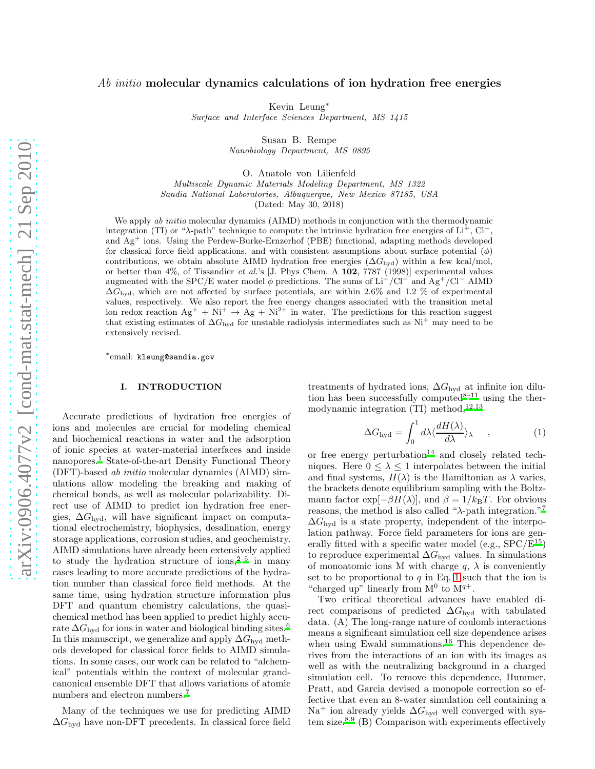# $Ab\ initio$  molecular dynamics calculations of ion hydration free energies

Kevin Leung<sup>∗</sup>

*Surface and Interface Sciences Department, MS 1415*

Susan B. Rempe *Nanobiology Department, MS 0895*

O. Anatole von Lilienfeld

*Multiscale Dynamic Materials Modeling Department, MS 1322 Sandia National Laboratories, Albuquerque, New Mexico 87185, USA* (Dated: May 30, 2018)

We apply *ab initio* molecular dynamics (AIMD) methods in conjunction with the thermodynamic integration (TI) or " $\lambda$ -path" technique to compute the intrinsic hydration free energies of Li<sup>+</sup>, Cl<sup>−</sup>, and Ag<sup>+</sup> ions. Using the Perdew-Burke-Ernzerhof (PBE) functional, adapting methods developed for classical force field applications, and with consistent assumptions about surface potential  $(\phi)$ contributions, we obtain absolute AIMD hydration free energies  $(\Delta G_{\text{hyd}})$  within a few kcal/mol, or better than 4%, of Tissandier *et al.*'s [J. Phys Chem. A 102, 7787 (1998)] experimental values augmented with the SPC/E water model  $\phi$  predictions. The sums of Li<sup>+</sup>/Cl<sup>−</sup> and Ag<sup>+</sup>/Cl<sup>−</sup> AIMD  $\Delta G_{\text{hvd}}$ , which are not affected by surface potentials, are within 2.6% and 1.2 % of experimental values, respectively. We also report the free energy changes associated with the transition metal ion redox reaction  $Ag^+ + Ni^+ \rightarrow Ag + Ni^{2+}$  in water. The predictions for this reaction suggest that existing estimates of  $\Delta G_{\text{hyd}}$  for unstable radiolysis intermediates such as Ni<sup>+</sup> may need to be extensively revised.

∗ email: kleung@sandia.gov

#### I. INTRODUCTION

Accurate predictions of hydration free energies of ions and molecules are crucial for modeling chemical and biochemical reactions in water and the adsorption of ionic species at water-material interfaces and inside nanopores.<sup>[1](#page-7-0)</sup> State-of-the-art Density Functional Theory (DFT)-based ab initio molecular dynamics (AIMD) simulations allow modeling the breaking and making of chemical bonds, as well as molecular polarizability. Direct use of AIMD to predict ion hydration free energies,  $\Delta G_{\text{hvd}}$ , will have significant impact on computational electrochemistry, biophysics, desalination, energy storage applications, corrosion studies, and geochemistry. AIMD simulations have already been extensively applied to study the hydration structure of ions, $2-5$  $2-5$  in many cases leading to more accurate predictions of the hydration number than classical force field methods. At the same time, using hydration structure information plus DFT and quantum chemistry calculations, the quasichemical method has been applied to predict highly accurate  $\Delta G_{\text{hyd}}$  for ions in water and biological binding sites.<sup>[6](#page-8-1)</sup> In this manuscript, we generalize and apply  $\Delta G_{\text{hvd}}$  methods developed for classical force fields to AIMD simulations. In some cases, our work can be related to "alchemical" potentials within the context of molecular grandcanonical ensemble DFT that allows variations of atomic numbers and electron numbers.<sup>[7](#page-8-2)</sup>

Many of the techniques we use for predicting AIMD  $\Delta G_{\text{hvd}}$  have non-DFT precedents. In classical force field treatments of hydrated ions,  $\Delta G_{\text{hyd}}$  at infinite ion dilu-tion has been successfully computed<sup>[8](#page-8-3)[–11](#page-8-4)</sup> using the thermodynamic integration (TI) method,  $12,13$  $12,13$ 

<span id="page-0-0"></span>
$$
\Delta G_{\rm hyd} = \int_0^1 d\lambda \langle \frac{dH(\lambda)}{d\lambda} \rangle_{\lambda} \quad , \tag{1}
$$

or free energy perturbation $14$  and closely related techniques. Here  $0 \leq \lambda \leq 1$  interpolates between the initial and final systems,  $H(\lambda)$  is the Hamiltonian as  $\lambda$  varies, the brackets denote equilibrium sampling with the Boltzmann factor exp $[-\beta H(\lambda)]$ , and  $\beta = 1/k_BT$ . For obvious reasons, the method is also called " $\lambda$ -path integration."<sup>[7](#page-8-2)</sup>  $\Delta G_{\text{hyd}}$  is a state property, independent of the interpolation pathway. Force field parameters for ions are generally fitted with a specific water model (e.g.,  $SPC/E^{15}$  $SPC/E^{15}$  $SPC/E^{15}$ ) to reproduce experimental  $\Delta G_{\text{hyd}}$  values. In simulations of monoatomic ions M with charge  $q$ ,  $\lambda$  is conveniently set to be proportional to  $q$  in Eq. [1](#page-0-0) such that the ion is "charged up" linearly from  $M^0$  to  $M^{q+}$ .

Two critical theoretical advances have enabled direct comparisons of predicted  $\Delta G_{\text{hyd}}$  with tabulated data. (A) The long-range nature of coulomb interactions means a significant simulation cell size dependence arises when using Ewald summations.<sup>[16](#page-8-9)</sup> This dependence derives from the interactions of an ion with its images as well as with the neutralizing background in a charged simulation cell. To remove this dependence, Hummer, Pratt, and Garcia devised a monopole correction so effective that even an 8-water simulation cell containing a Na<sup>+</sup> ion already yields  $\Delta G_{\text{hyd}}$  well converged with system size. $8,9$  $8,9$  (B) Comparison with experiments effectively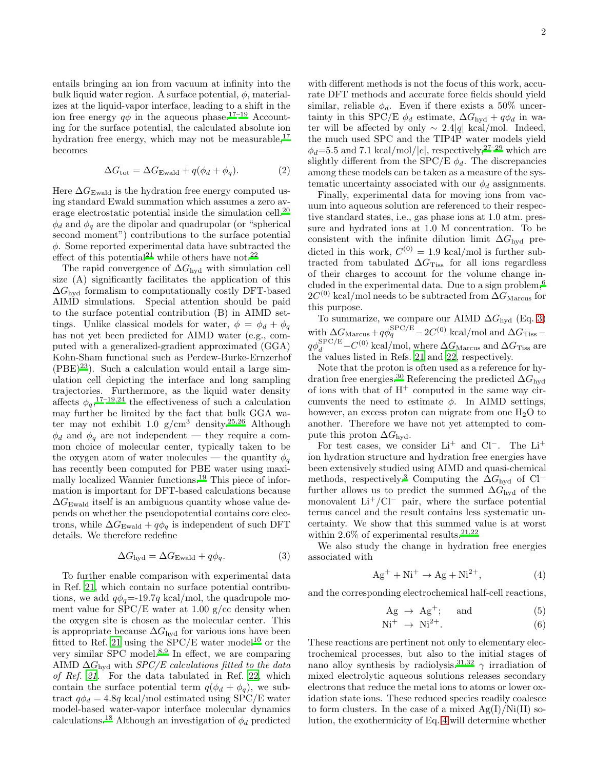entails bringing an ion from vacuum at infinity into the bulk liquid water region. A surface potential,  $\phi$ , materializes at the liquid-vapor interface, leading to a shift in the ion free energy  $q\phi$  in the aqueous phase.<sup>[17](#page-8-11)[–19](#page-8-12)</sup> Accounting for the surface potential, the calculated absolute ion hydration free energy, which may not be measurable, $^{17}$  $^{17}$  $^{17}$ becomes

$$
\Delta G_{\text{tot}} = \Delta G_{\text{Ewald}} + q(\phi_d + \phi_q). \tag{2}
$$

Here  $\Delta G_{\text{Ewald}}$  is the hydration free energy computed using standard Ewald summation which assumes a zero average electrostatic potential inside the simulation cell.[20](#page-8-13)  $\phi_d$  and  $\phi_q$  are the dipolar and quadrupolar (or "spherical second moment") contributions to the surface potential  $\phi$ . Some reported experimental data have subtracted the effect of this potential<sup>[21](#page-8-14)</sup> while others have not.<sup>[22](#page-8-15)</sup>

The rapid convergence of  $\Delta G_{\text{hvd}}$  with simulation cell size (A) significantly facilitates the application of this  $\Delta G_{\text{hyd}}$  formalism to computationally costly DFT-based AIMD simulations. Special attention should be paid to the surface potential contribution (B) in AIMD settings. Unlike classical models for water,  $\phi = \phi_d + \phi_q$ has not yet been predicted for AIMD water (e.g., computed with a generalized-gradient approximated (GGA) Kohn-Sham functional such as Perdew-Burke-Ernzerhof  $(PBE)^{23}$  $(PBE)^{23}$  $(PBE)^{23}$ . Such a calculation would entail a large simulation cell depicting the interface and long sampling trajectories. Furthermore, as the liquid water density affects  $\phi_q$ , <sup>[17](#page-8-11)[–19](#page-8-12)[,24](#page-8-17)</sup> the effectiveness of such a calculation may further be limited by the fact that bulk GGA water may not exhibit 1.0 g/cm $^3$  density. $^{25,26}$  $^{25,26}$  $^{25,26}$  $^{25,26}$  Although  $\phi_d$  and  $\phi_q$  are not independent — they require a common choice of molecular center, typically taken to be the oxygen atom of water molecules — the quantity  $\phi_q$ has recently been computed for PBE water using maximally localized Wannier functions.[19](#page-8-12) This piece of information is important for DFT-based calculations because  $\Delta G_{\text{Ewald}}$  itself is an ambiguous quantity whose value depends on whether the pseudopotential contains core electrons, while  $\Delta G_{\text{Ewald}} + q\phi_a$  is independent of such DFT details. We therefore redefine

<span id="page-1-0"></span>
$$
\Delta G_{\text{hyd}} = \Delta G_{\text{Ewald}} + q\phi_q. \tag{3}
$$

To further enable comparison with experimental data in Ref. [21,](#page-8-14) which contain no surface potential contributions, we add  $q\phi_q = -19.7q \text{ kcal/mol}$ , the quadrupole moment value for  $SPC/E$  water at 1.00 g/cc density when the oxygen site is chosen as the molecular center. This is appropriate because  $\Delta G_{\rm hyd}$  for various ions have been fitted to Ref. [21](#page-8-14) using the  $SPC/E$  water model<sup>[10](#page-8-20)</sup> or the very similar SPC model.[8](#page-8-3)[,9](#page-8-10) In effect, we are comparing AIMD  $\Delta G_{\text{hvd}}$  with  $SPC/E$  calculations fitted to the data of Ref. [21.](#page-8-14) For the data tabulated in Ref. [22,](#page-8-15) which contain the surface potential term  $q(\phi_d + \phi_q)$ , we subtract  $q\phi_d = 4.8q$  kcal/mol estimated using SPC/E water model-based water-vapor interface molecular dynamics calculations.<sup>[18](#page-8-21)</sup> Although an investigation of  $\phi_d$  predicted

2

with different methods is not the focus of this work, accurate DFT methods and accurate force fields should yield similar, reliable  $\phi_d$ . Even if there exists a 50% uncertainty in this SPC/E  $\phi_d$  estimate,  $\Delta G_{\text{hyd}} + q\phi_d$  in water will be affected by only  $\sim 2.4|q|$  kcal/mol. Indeed, the much used SPC and the TIP4P water models yield  $\phi_d$ =5.5 and 7.1 kcal/mol/|e|, respectively,<sup>[27](#page-8-22)-29</sup> which are slightly different from the SPC/E  $\phi_d$ . The discrepancies among these models can be taken as a measure of the systematic uncertainty associated with our  $\phi_d$  assignments.

Finally, experimental data for moving ions from vacuum into aqueous solution are referenced to their respective standard states, i.e., gas phase ions at 1.0 atm. pressure and hydrated ions at 1.0 M concentration. To be consistent with the infinite dilution limit  $\Delta G_{\text{hyd}}$  predicted in this work,  $C^{(0)} = 1.9$  kcal/mol is further subtracted from tabulated  $\Delta G$ <sub>Tiss</sub> for all ions regardless</sub> of their charges to account for the volume change included in the experimental data. Due to a sign problem,[6](#page-8-1)  $2C^{(0)}$  kcal/mol needs to be subtracted from  $\Delta G_{\rm Marcus}$  for this purpose.

To summarize, we compare our AIMD  $\Delta G_{\text{hyd}}$  (Eq. [3\)](#page-1-0) with  $\Delta G_{\rm Marcus} + q\phi_q^{\rm SPEC/E} - 2C^{(0)}$  kcal/mol and  $\Delta G_{\rm Tiss}$  –  $q\phi_d^{\rm SPEC/E}\!-\!C^{(0)}\!\!\;\text{kcal/mol},$  where  $\Delta G_\text{Marcus}$  and  $\Delta G_\text{Tiss}$  are the values listed in Refs. [21](#page-8-14) and [22,](#page-8-15) respectively.

Note that the proton is often used as a reference for hy-dration free energies.<sup>[30](#page-8-24)</sup> Referencing the predicted  $\Delta G_{\text{hyd}}$ of ions with that of  $H^+$  computed in the same way circumvents the need to estimate  $\phi$ . In AIMD settings, however, an excess proton can migrate from one  $H_2O$  to another. Therefore we have not yet attempted to compute this proton  $\Delta G_{\text{hvd}}$ .

For test cases, we consider Li<sup>+</sup> and Cl<sup>−</sup>. The Li<sup>+</sup> ion hydration structure and hydration free energies have been extensively studied using AIMD and quasi-chemical methods, respectively.<sup>[3](#page-7-2)</sup> Computing the  $\Delta G_{\text{hyd}}$  of Cl<sup>−</sup> further allows us to predict the summed  $\Delta G_{\text{hyd}}$  of the monovalent  $Li^+/Cl^-$  pair, where the surface potential terms cancel and the result contains less systematic uncertainty. We show that this summed value is at worst within 2.6% of experimental results.<sup>[21](#page-8-14)[,22](#page-8-15)</sup>

We also study the change in hydration free energies associated with

<span id="page-1-1"></span>
$$
Ag^{+} + Ni^{+} \rightarrow Ag + Ni^{2+}, \tag{4}
$$

and the corresponding electrochemical half-cell reactions,

<span id="page-1-2"></span>
$$
Ag \rightarrow Ag^{+}; \quad \text{and} \quad (5)
$$

$$
Ni^+ \rightarrow Ni^{2+}.
$$
 (6)

These reactions are pertinent not only to elementary electrochemical processes, but also to the initial stages of nano alloy synthesis by radiolysis.<sup>[31](#page-8-25)[,32](#page-8-26)</sup>  $\gamma$  irradiation of mixed electrolytic aqueous solutions releases secondary electrons that reduce the metal ions to atoms or lower oxidation state ions. These reduced species readily coalesce to form clusters. In the case of a mixed  $Ag(I)/Ni(II)$  solution, the exothermicity of Eq. [4](#page-1-1) will determine whether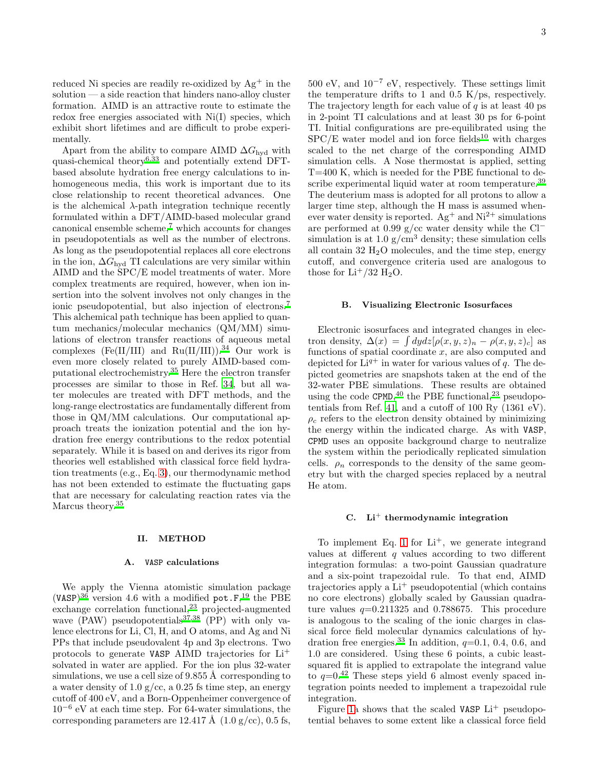reduced Ni species are readily re-oxidized by  $Ag^+$  in the solution — a side reaction that hinders nano-alloy cluster formation. AIMD is an attractive route to estimate the redox free energies associated with Ni(I) species, which exhibit short lifetimes and are difficult to probe experimentally.

Apart from the ability to compare AIMD  $\Delta G_{\text{hyd}}$  with quasi-chemical theory<sup>[6](#page-8-1)[,33](#page-8-27)</sup> and potentially extend DFTbased absolute hydration free energy calculations to inhomogeneous media, this work is important due to its close relationship to recent theoretical advances. One is the alchemical  $\lambda$ -path integration technique recently formulated within a DFT/AIMD-based molecular grand canonical ensemble scheme,[7](#page-8-2) which accounts for changes in pseudopotentials as well as the number of electrons. As long as the pseudopotential replaces all core electrons in the ion,  $\Delta G_{\text{hvd}}$  TI calculations are very similar within AIMD and the SPC/E model treatments of water. More complex treatments are required, however, when ion insertion into the solvent involves not only changes in the ionic pseudopotential, but also injection of electrons.[7](#page-8-2) This alchemical path technique has been applied to quantum mechanics/molecular mechanics (QM/MM) simulations of electron transfer reactions of aqueous metal complexes (Fe(II/III) and  $Ru(II/III))$ .<sup>[34](#page-8-28)</sup> Our work is even more closely related to purely AIMD-based computational electrochemistry.[35](#page-8-29) Here the electron transfer processes are similar to those in Ref. [34,](#page-8-28) but all water molecules are treated with DFT methods, and the long-range electrostatics are fundamentally different from those in QM/MM calculations. Our computational approach treats the ionization potential and the ion hydration free energy contributions to the redox potential separately. While it is based on and derives its rigor from theories well established with classical force field hydration treatments (e.g., Eq. [3\)](#page-1-0), our thermodynamic method has not been extended to estimate the fluctuating gaps that are necessary for calculating reaction rates via the Marcus theory.<sup>[35](#page-8-29)</sup>

#### II. METHOD

## A. VASP calculations

We apply the Vienna atomistic simulation package (VASP)<sup>[36](#page-8-30)</sup> version 4.6 with a modified pot.  $F$ <sup>[19](#page-8-12)</sup>, the PBE exchange correlation functional,[23](#page-8-16) projected-augmented wave (PAW) pseudopotentials<sup>[37](#page-8-31)[,38](#page-8-32)</sup> (PP) with only valence electrons for Li, Cl, H, and O atoms, and Ag and Ni PPs that include pseudovalent 4p and 3p electrons. Two protocols to generate VASP AIMD trajectories for Li<sup>+</sup> solvated in water are applied. For the ion plus 32-water simulations, we use a cell size of 9.855 Å corresponding to a water density of 1.0  $g/cc$ , a 0.25 fs time step, an energy cutoff of 400 eV, and a Born-Oppenheimer convergence of 10<sup>−</sup><sup>6</sup> eV at each time step. For 64-water simulations, the corresponding parameters are 12.417 Å  $(1.0 \text{ g/cc})$ , 0.5 fs,

 $500 \text{ eV}$ , and  $10^{-7} \text{ eV}$ , respectively. These settings limit the temperature drifts to 1 and 0.5 K/ps, respectively. The trajectory length for each value of  $q$  is at least 40 ps in 2-point TI calculations and at least 30 ps for 6-point TI. Initial configurations are pre-equilibrated using the  $SPC/E$  water model and ion force fields<sup>[10](#page-8-20)</sup> with charges scaled to the net charge of the corresponding AIMD simulation cells. A Nose thermostat is applied, setting T=400 K, which is needed for the PBE functional to de-scribe experimental liquid water at room temperature.<sup>[39](#page-8-33)</sup> The deuterium mass is adopted for all protons to allow a larger time step, although the H mass is assumed whenever water density is reported.  $Ag^+$  and  $Ni^{2+}$  simulations are performed at 0.99 g/cc water density while the Cl<sup>−</sup> simulation is at 1.0  $g/cm<sup>3</sup>$  density; these simulation cells all contain  $32 \text{ H}_2\text{O}$  molecules, and the time step, energy cutoff, and convergence criteria used are analogous to those for  $Li^+/32$  H<sub>2</sub>O.

## <span id="page-2-0"></span>B. Visualizing Electronic Isosurfaces

Electronic isosurfaces and integrated changes in electron density,  $\Delta(x) = \int dy dz [\rho(x, y, z)_n - \rho(x, y, z)_c]$  as functions of spatial coordinate  $x$ , are also computed and depicted for  $Li^{q+}$  in water for various values of q. The depicted geometries are snapshots taken at the end of the 32-water PBE simulations. These results are obtained using the code  $\text{CPMD}$ , <sup>[40](#page-8-34)</sup> the PBE functional, <sup>[23](#page-8-16)</sup> pseudopo-tentials from Ref. [41](#page-8-35), and a cutoff of 100 Ry  $(1361 \text{ eV})$ .  $\rho_c$  refers to the electron density obtained by minimizing the energy within the indicated charge. As with VASP, CPMD uses an opposite background charge to neutralize the system within the periodically replicated simulation cells.  $\rho_n$  corresponds to the density of the same geometry but with the charged species replaced by a neutral He atom.

# $C.$  Li<sup>+</sup> thermodynamic integration

To implement Eq. [1](#page-0-0) for  $Li^+$ , we generate integrand values at different  $q$  values according to two different integration formulas: a two-point Gaussian quadrature and a six-point trapezoidal rule. To that end, AIMD trajectories apply a  $Li<sup>+</sup>$  pseudopotential (which contains no core electrons) globally scaled by Gaussian quadrature values  $q=0.211325$  and 0.788675. This procedure is analogous to the scaling of the ionic charges in classical force field molecular dynamics calculations of hy-dration free energies.<sup>[33](#page-8-27)</sup> In addition,  $q=0.1$ , 0.4, 0.6, and 1.0 are considered. Using these 6 points, a cubic leastsquared fit is applied to extrapolate the integrand value to  $q=0.42$  $q=0.42$  These steps yield 6 almost evenly spaced integration points needed to implement a trapezoidal rule integration.

Figure [1a](#page-11-0) shows that the scaled VASP  $Li^+$  pseudopotential behaves to some extent like a classical force field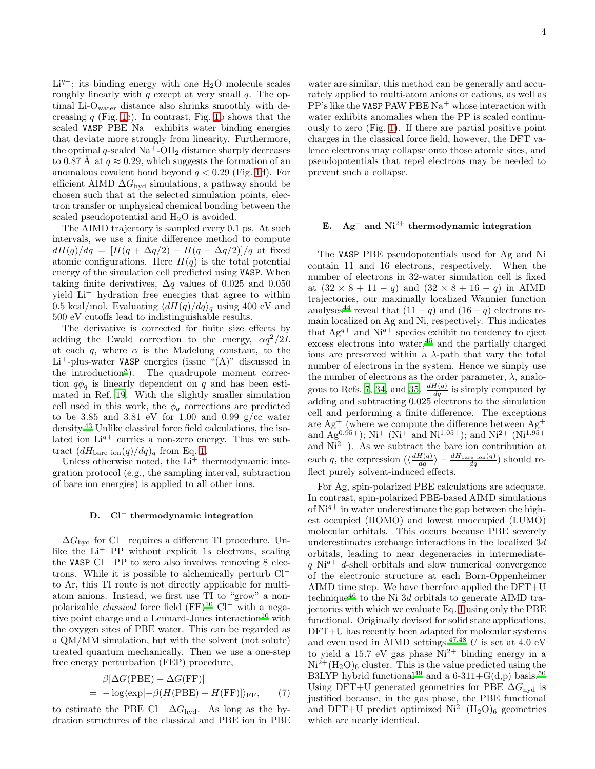$Li<sup>q+</sup>$ ; its binding energy with one  $H<sub>2</sub>O$  molecule scales roughly linearly with  $q$  except at very small  $q$ . The optimal Li-O<sub>water</sub> distance also shrinks smoothly with decreasing  $q$  (Fig. [1c](#page-11-0)). In contrast, Fig. [1b](#page-11-0) shows that the scaled VASP PBE  $Na<sup>+</sup>$  exhibits water binding energies that deviate more strongly from linearity. Furthermore, the optimal q-scaled  $\text{Na}^+\text{-OH}_2$  distance sharply decreases to 0.87 Å at  $q \approx 0.29$ , which suggests the formation of an anomalous covalent bond beyond  $q < 0.29$  (Fig. [1d](#page-11-0)). For efficient AIMD  $\Delta G_{\text{hvd}}$  simulations, a pathway should be chosen such that at the selected simulation points, electron transfer or unphysical chemical bonding between the scaled pseudopotential and  $H_2O$  is avoided.

The AIMD trajectory is sampled every 0.1 ps. At such intervals, we use a finite difference method to compute  $dH(q)/dq = [H(q + \Delta q/2) - H(q - \Delta q/2)]/q$  at fixed atomic configurations. Here  $H(q)$  is the total potential energy of the simulation cell predicted using VASP. When taking finite derivatives,  $\Delta q$  values of 0.025 and 0.050 yield Li<sup>+</sup> hydration free energies that agree to within 0.5 kcal/mol. Evaluating  $\langle dH(q)/dq\rangle_q$  using 400 eV and 500 eV cutoffs lead to indistinguishable results.

The derivative is corrected for finite size effects by adding the Ewald correction to the energy,  $\alpha q^2/2L$ at each q, where  $\alpha$  is the Madelung constant, to the  $Li<sup>+</sup>$ -plus-water VASP energies (issue "(A)" discussed in the introduction<sup>[8](#page-8-3)</sup>). The quadrupole moment correction  $q\phi_q$  is linearly dependent on q and has been estimated in Ref. [19](#page-8-12). With the slightly smaller simulation cell used in this work, the  $\phi_q$  corrections are predicted to be 3.85 and 3.81 eV for 1.00 and 0.99 g/cc water density.[43](#page-9-0) Unlike classical force field calculations, the isolated ion  $Li^{q+}$  carries a non-zero energy. Thus we subtract  $(dH_{\text{bare ion}}(q)/dq)_{q}$  from Eq. [1.](#page-0-0)

Unless otherwise noted, the  $Li<sup>+</sup>$  thermodynamic integration protocol (e.g., the sampling interval, subtraction of bare ion energies) is applied to all other ions.

#### D. Cl<sup>−</sup> thermodynamic integration

 $\Delta G_{\text{hvd}}$  for Cl<sup>−</sup> requires a different TI procedure. Unlike the  $Li^+$  PP without explicit 1s electrons, scaling the VASP Cl<sup>−</sup> PP to zero also involves removing 8 electrons. While it is possible to alchemically perturb Cl<sup>−</sup> to Ar, this TI route is not directly applicable for multiatom anions. Instead, we first use TI to "grow" a nonpolarizable *classical* force field  $(FF)^{10}$  $(FF)^{10}$  $(FF)^{10}$  Cl<sup>−</sup> with a nega-tive point charge and a Lennard-Jones interaction<sup>[10](#page-8-20)</sup> with the oxygen sites of PBE water. This can be regarded as a QM/MM simulation, but with the solvent (not solute) treated quantum mechanically. Then we use a one-step free energy perturbation (FEP) procedure,

<span id="page-3-0"></span>
$$
\beta[\Delta G(\text{PBE}) - \Delta G(\text{FF})] \n= -\log(\exp[-\beta(H(\text{PBE}) - H(\text{FF})])_{\text{FF}}, \quad (7)
$$

to estimate the PBE Cl<sup>−</sup>  $\Delta G_{\text{hyd}}$ . As long as the hydration structures of the classical and PBE ion in PBE

water are similar, this method can be generally and accurately applied to multi-atom anions or cations, as well as  $PP's$  like the VASP PAW PBE Na<sup>+</sup> whose interaction with water exhibits anomalies when the PP is scaled continuously to zero (Fig. [1\)](#page-11-0). If there are partial positive point charges in the classical force field, however, the DFT valence electrons may collapse onto those atomic sites, and pseudopotentials that repel electrons may be needed to prevent such a collapse.

# E.  $Ag^+$  and  $Ni^{2+}$  thermodynamic integration

The VASP PBE pseudopotentials used for Ag and Ni contain 11 and 16 electrons, respectively. When the number of electrons in 32-water simulation cell is fixed at  $(32 \times 8 + 11 - q)$  and  $(32 \times 8 + 16 - q)$  in AIMD trajectories, our maximally localized Wannier function analyses<sup>[44](#page-9-1)</sup> reveal that  $(11 - q)$  and  $(16 - q)$  electrons remain localized on Ag and Ni, respectively. This indicates that  $Ag^{q+}$  and  $Ni^{q+}$  species exhibit no tendency to eject excess electrons into water,[45](#page-9-2) and the partially charged ions are preserved within a  $\lambda$ -path that vary the total number of electrons in the system. Hence we simply use the number of electrons as the order parameter,  $\lambda$ , analo-gous to Refs. [7,](#page-8-2) [34](#page-8-28), and [35](#page-8-29).  $\frac{dH(q)}{dq}$  is simply computed by adding and subtracting 0.025 electrons to the simulation cell and performing a finite difference. The exceptions are  $\text{Ag}^+$  (where we compute the difference between  $\text{Ag}^+$ and Ag<sup>0.95+</sup>); Ni<sup>+</sup> (Ni<sup>+</sup> and Ni<sup>1.05+</sup>); and Ni<sup>2+</sup> (Ni<sup>1.95+</sup>) and  $Ni^{2+}$ ). As we subtract the bare ion contribution at each q, the expression  $\left(\frac{dH(q)}{dq}\right) - \frac{dH_{\text{bare ion}}(q)}{dq}$  should reflect purely solvent-induced effects.

For Ag, spin-polarized PBE calculations are adequate. In contrast, spin-polarized PBE-based AIMD simulations of  $Ni<sup>q+</sup>$  in water underestimate the gap between the highest occupied (HOMO) and lowest unoccupied (LUMO) molecular orbitals. This occurs because PBE severely underestimates exchange interactions in the localized  $3d$ orbitals, leading to near degeneracies in intermediate $q$  Ni<sup>q+</sup> d-shell orbitals and slow numerical convergence of the electronic structure at each Born-Oppenheimer AIMD time step. We have therefore applied the DFT+U technique<sup>[46](#page-9-3)</sup> to the Ni 3d orbitals to generate AIMD trajectories with which we evaluate Eq. [1](#page-0-0) using only the PBE functional. Originally devised for solid state applications, DFT+U has recently been adapted for molecular systems and even used in AIMD settings.<sup>[47](#page-9-4)[,48](#page-9-5)</sup> U is set at 4.0 eV to yield a 15.7 eV gas phase  $\text{Ni}^{2+}$  binding energy in a  $Ni^{2+}(H<sub>2</sub>O)<sub>6</sub> cluster. This is the value predicted using the$ B3LYP hybrid functional<sup>[49](#page-9-6)</sup> and a 6-311+ $G(d,p)$  basis.<sup>[50](#page-9-7)</sup> Using DFT+U generated geometries for PBE  $\Delta G_{\text{hyd}}$  is justified because, in the gas phase, the PBE functional and DFT+U predict optimized  $Ni^{2+}(H_2O)_6$  geometries which are nearly identical.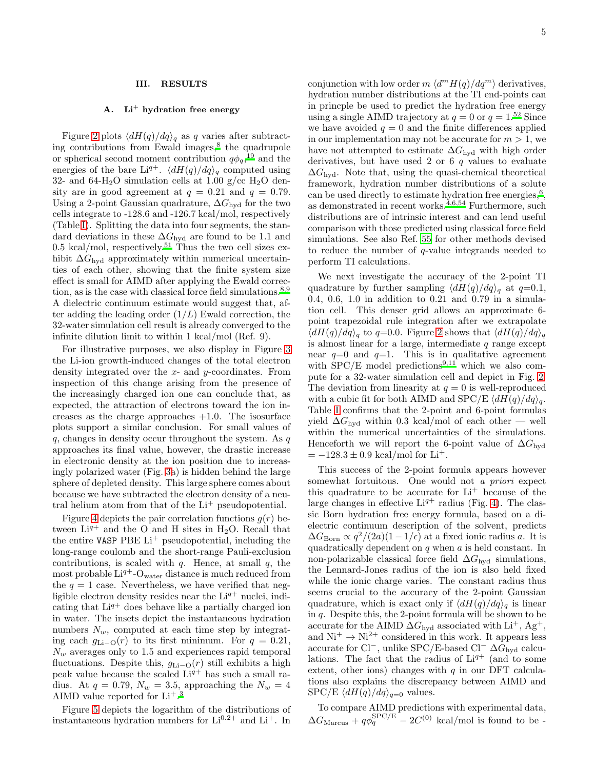#### III. RESULTS

## A.  $Li<sup>+</sup>$  hydration free energy

Figure [2](#page-12-0) plots  $\langle dH(q)/dq \rangle_q$  as q varies after subtract-ing contributions from Ewald images,<sup>[8](#page-8-3)</sup> the quadrupole or spherical second moment contribution  $q\phi_q$ <sup>[19](#page-8-12)</sup> and the energies of the bare Li<sup>q+</sup>.  $\langle dH(q)/dq \rangle_q$  computed using 32- and 64-H<sub>2</sub>O simulation cells at 1.00 g/cc H<sub>2</sub>O density are in good agreement at  $q = 0.21$  and  $q = 0.79$ . Using a 2-point Gaussian quadrature,  $\Delta G_{\text{hyd}}$  for the two cells integrate to -128.6 and -126.7 kcal/mol, respectively (Table [I\)](#page-10-0). Splitting the data into four segments, the standard deviations in these  $\Delta G_{\text{hyd}}$  are found to be 1.1 and 0.5 kcal/mol, respectively.<sup>[51](#page-9-8)</sup> Thus the two cell sizes exhibit  $\Delta G_{\text{hyd}}$  approximately within numerical uncertainties of each other, showing that the finite system size effect is small for AIMD after applying the Ewald correction, as is the case with classical force field simulations. $8,9$  $8,9$ A dielectric continuum estimate would suggest that, after adding the leading order  $(1/L)$  Ewald correction, the 32-water simulation cell result is already converged to the infinite dilution limit to within 1 kcal/mol (Ref. 9).

For illustrative purposes, we also display in Figure [3](#page-13-0) the Li-ion growth-induced changes of the total electron density integrated over the x- and y-coordinates. From inspection of this change arising from the presence of the increasingly charged ion one can conclude that, as expected, the attraction of electrons toward the ion increases as the charge approaches  $+1.0$ . The isosurface plots support a similar conclusion. For small values of  $q$ , changes in density occur throughout the system. As  $q$ approaches its final value, however, the drastic increase in electronic density at the ion position due to increasingly polarized water (Fig. [3a](#page-13-0)) is hidden behind the large sphere of depleted density. This large sphere comes about because we have subtracted the electron density of a neutral helium atom from that of the  $Li<sup>+</sup>$  pseudopotential.

Figure [4](#page-14-0) depicts the pair correlation functions  $g(r)$  between  $Li^{q+}$  and the O and H sites in H<sub>2</sub>O. Recall that the entire VASP PBE  $Li^{+}$  pseudopotential, including the long-range coulomb and the short-range Pauli-exclusion contributions, is scaled with  $q$ . Hence, at small  $q$ , the most probable  $Li^{q+}$ -O<sub>water</sub> distance is much reduced from the  $q = 1$  case. Nevertheless, we have verified that negligible electron density resides near the  $Li^{q+}$  nuclei, indicating that  $Li^{q+}$  does behave like a partially charged ion in water. The insets depict the instantaneous hydration numbers  $N_w$ , computed at each time step by integrating each  $g_{\text{Li}-\text{O}}(r)$  to its first minimum. For  $q = 0.21$ ,  $N_w$  averages only to 1.5 and experiences rapid temporal fluctuations. Despite this,  $q_{Li-O}(r)$  still exhibits a high peak value because the scaled  $Li^{q+}$  has such a small radius. At  $q = 0.79$ ,  $N_w = 3.5$ , approaching the  $N_w = 4$ AIMD value reported for  $Li<sup>+</sup>.<sup>3</sup>$  $Li<sup>+</sup>.<sup>3</sup>$  $Li<sup>+</sup>.<sup>3</sup>$ 

Figure [5](#page-15-0) depicts the logarithm of the distributions of instantaneous hydration numbers for  $Li^{0.2+}$  and  $Li^{+}$ . In

conjunction with low order  $m \langle d^m H(q)/dq^m \rangle$  derivatives, hydration number distributions at the TI end-points can in princple be used to predict the hydration free energy using a single AIMD trajectory at  $q = 0$  or  $q = 1.52$  $q = 1.52$  Since we have avoided  $q = 0$  and the finite differences applied in our implementation may not be accurate for  $m > 1$ , we have not attempted to estimate  $\Delta G_{\text{hyd}}$  with high order derivatives, but have used 2 or 6  $q$  values to evaluate  $\Delta G_{\text{hvd}}$ . Note that, using the quasi-chemical theoretical framework, hydration number distributions of a solute can be used directly to estimate hydration free energies,  $6,$  $6,$ as demonstrated in recent works. $4,6,54$  $4,6,54$  $4,6,54$  Furthermore, such distributions are of intrinsic interest and can lend useful comparison with those predicted using classical force field simulations. See also Ref. [55](#page-9-11) for other methods devised to reduce the number of  $q$ -value integrands needed to perform TI calculations.

We next investigate the accuracy of the 2-point TI quadrature by further sampling  $\langle dH(q)/dq\rangle_q$  at  $q=0.1$ , 0.4, 0.6, 1.0 in addition to 0.21 and 0.79 in a simulation cell. This denser grid allows an approximate 6 point trapezoidal rule integration after we extrapolate  $\langle dH(q)/dq \rangle_q$  to  $q=0.0$ . Figure [2](#page-12-0) shows that  $\langle dH(q)/dq \rangle_q$ is almost linear for a large, intermediate  $q$  range except near  $q=0$  and  $q=1$ . This is in qualitative agreement with  $SPC/E$  model predictions<sup>[9](#page-8-10)[,11](#page-8-4)</sup> which we also compute for a 32-water simulation cell and depict in Fig. [2.](#page-12-0) The deviation from linearity at  $q = 0$  is well-reproduced with a cubic fit for both AIMD and SPC/E  $\langle dH(q)/dq \rangle_q$ . Table [I](#page-10-0) confirms that the 2-point and 6-point formulas yield  $\Delta G_{\text{hvd}}$  within 0.3 kcal/mol of each other — well within the numerical uncertainties of the simulations. Henceforth we will report the 6-point value of  $\Delta G_{\text{hyd}}$  $= -128.3 \pm 0.9$  kcal/mol for Li<sup>+</sup>.

This success of the 2-point formula appears however somewhat fortuitous. One would not a priori expect this quadrature to be accurate for  $Li^+$  because of the large changes in effective  $Li^{q+}$  radius (Fig. [4\)](#page-14-0). The classic Born hydration free energy formula, based on a dielectric continuum description of the solvent, predicts  $\Delta G_{\text{Born}} \propto q^2/(2a)(1-1/\epsilon)$  at a fixed ionic radius a. It is quadratically dependent on  $q$  when  $a$  is held constant. In non-polarizable classical force field  $\Delta G_{\text{hyd}}$  simulations, the Lennard-Jones radius of the ion is also held fixed while the ionic charge varies. The constant radius thus seems crucial to the accuracy of the 2-point Gaussian quadrature, which is exact only if  $\langle dH(q)/dq \rangle_q$  is linear in  $q$ . Despite this, the 2-point formula will be shown to be accurate for the AIMD  $\Delta G_{\text{hyd}}$  associated with Li<sup>+</sup>, Ag<sup>+</sup>, and  $Ni^+ \rightarrow Ni^{2+}$  considered in this work. It appears less accurate for Cl<sup>−</sup>, unlike SPC/E-based Cl<sup>−</sup>  $\Delta G_{\text{hyd}}$  calculations. The fact that the radius of  $Li^{q+}$  (and to some extent, other ions) changes with  $q$  in our DFT calculations also explains the discrepancy between AIMD and SPC/E  $\langle dH(q)/dq \rangle_{q=0}$  values.

To compare AIMD predictions with experimental data,  $\Delta G_{\text{Marcus}} + q\phi_q^{\text{SPC/E}} - 2C^{(0)}$  kcal/mol is found to be -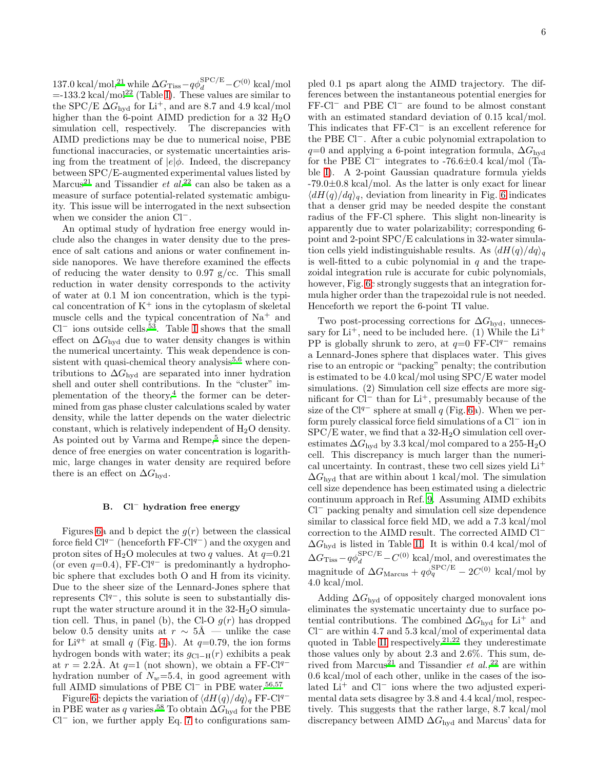137.0 kcal/mol,<sup>[21](#page-8-14)</sup> while  $\Delta G_{\rm Tiss} - q\phi_d^{\rm SPEC/E} - C^{(0)}$  kcal/mol  $=133.2 \text{ kcal/mol}^{22}$  $=133.2 \text{ kcal/mol}^{22}$  $=133.2 \text{ kcal/mol}^{22}$  (Table [I\)](#page-10-0). These values are similar to the SPC/E  $\Delta G_{\text{hyd}}$  for Li<sup>+</sup>, and are 8.7 and 4.9 kcal/mol higher than the 6-point AIMD prediction for a 32  $H<sub>2</sub>O$ simulation cell, respectively. The discrepancies with AIMD predictions may be due to numerical noise, PBE functional inaccuracies, or systematic uncertainties arising from the treatment of  $|e|\phi$ . Indeed, the discrepancy between SPC/E-augmented experimental values listed by Marcus<sup>[21](#page-8-14)</sup> and Tissandier et  $al^{22}$  $al^{22}$  $al^{22}$  can also be taken as a measure of surface potential-related systematic ambiguity. This issue will be interrogated in the next subsection when we consider the anion Cl−.

An optimal study of hydration free energy would include also the changes in water density due to the presence of salt cations and anions or water confinement inside nanopores. We have therefore examined the effects of reducing the water density to 0.97 g/cc. This small reduction in water density corresponds to the activity of water at 0.1 M ion concentration, which is the typical concentration of  $K^+$  ions in the cytoplasm of skeletal muscle cells and the typical concentration of  $Na<sup>+</sup>$  and  $Cl^-$  ions outside cells.<sup>[53](#page-9-12)</sup>. Table [I](#page-10-0) shows that the small effect on  $\Delta G_{\text{hvd}}$  due to water density changes is within the numerical uncertainty. This weak dependence is consistent with quasi-chemical theory analysis $5,6$  $5,6$  where contributions to  $\Delta G_{\text{hyd}}$  are separated into inner hydration shell and outer shell contributions. In the "cluster" im-plementation of the theory,<sup>[4](#page-8-37)</sup> the former can be determined from gas phase cluster calculations scaled by water density, while the latter depends on the water dielectric constant, which is relatively independent of H2O density. As pointed out by Varma and Rempe,<sup>[5](#page-8-0)</sup> since the dependence of free energies on water concentration is logarithmic, large changes in water density are required before there is an effect on  $\Delta G_{\text{hyd}}$ .

# B. Cl<sup>−</sup> hydration free energy

Figures [6a](#page-16-0) and b depict the  $g(r)$  between the classical force field  $Cl^{q-}$  (henceforth FF-Cl<sup>q−</sup>) and the oxygen and proton sites of H<sub>2</sub>O molecules at two q values. At  $q=0.21$ (or even  $q=0.4$ ), FF-Cl<sup> $q-$ </sup> is predominantly a hydrophobic sphere that excludes both O and H from its vicinity. Due to the sheer size of the Lennard-Jones sphere that represents  $Cl<sup>q</sup>$ , this solute is seen to substantially disrupt the water structure around it in the  $32-\mathrm{H}_2\mathrm{O}$  simulation cell. Thus, in panel (b), the Cl-O  $g(r)$  has dropped below 0.5 density units at  $r \sim 5\text{\AA}$  — unlike the case for Li<sup>q+</sup> at small q (Fig. [4a](#page-14-0)). At  $q=0.79$ , the ion forms hydrogen bonds with water; its  $q_{\text{Cl-H}}(r)$  exhibits a peak at  $r = 2.2$ Å. At  $q=1$  (not shown), we obtain a FF-Cl<sup>q-</sup> hydration number of  $N_w=5.4$ , in good agreement with full AIMD simulations of PBE Cl<sup>−</sup> in PBE water.<sup>[56](#page-9-13)[,57](#page-9-14)</sup>

Figure [6c](#page-16-0) depicts the variation of  $\langle dH(q)/dq\rangle_q$  FF-Cl<sup>q−</sup> in PBE water as q varies.<sup>[58](#page-9-15)</sup> To obtain  $\Delta G_{\text{hyd}}$  for the PBE  $Cl^-$  ion, we further apply Eq. [7](#page-3-0) to configurations sam-

pled 0.1 ps apart along the AIMD trajectory. The differences between the instantaneous potential energies for FF-Cl<sup>−</sup> and PBE Cl<sup>−</sup> are found to be almost constant with an estimated standard deviation of 0.15 kcal/mol. This indicates that FF-Cl<sup>−</sup> is an excellent reference for the PBE Cl−. After a cubic polynomial extrapolation to  $q=0$  and applying a 6-point integration formula,  $\Delta G_{\text{hvd}}$ for the PBE  $Cl^-$  integrates to -76.6 $\pm$ 0.4 kcal/mol (Table [I\)](#page-10-0). A 2-point Gaussian quadrature formula yields  $-79.0\pm0.8$  kcal/mol. As the latter is only exact for linear  $\langle dH(q)/dq\rangle_q$ , deviation from linearity in Fig. [6](#page-16-0) indicates that a denser grid may be needed despite the constant radius of the FF-Cl sphere. This slight non-linearity is apparently due to water polarizability; corresponding 6 point and 2-point SPC/E calculations in 32-water simulation cells yield indistinguishable results. As  $\langle dH(q)/dq \rangle_q$ is well-fitted to a cubic polynomial in  $q$  and the trapezoidal integration rule is accurate for cubic polynomials, however, Fig. [6c](#page-16-0) strongly suggests that an integration formula higher order than the trapezoidal rule is not needed. Henceforth we report the 6-point TI value.

Two post-processing corrections for  $\Delta G_{\text{hyd}}$ , unnecessary for  $Li^+$ , need to be included here. (1) While the  $Li^+$ PP is globally shrunk to zero, at  $q=0$  FF-Cl<sup> $q-$ </sup> remains a Lennard-Jones sphere that displaces water. This gives rise to an entropic or "packing" penalty; the contribution is estimated to be 4.0 kcal/mol using SPC/E water model simulations. (2) Simulation cell size effects are more significant for Cl<sup>−</sup> than for Li<sup>+</sup>, presumably because of the size of the Cl<sup>q−</sup> sphere at small q (Fig. [6a](#page-16-0)). When we perform purely classical force field simulations of a Cl<sup>−</sup> ion in  $SPC/E$  water, we find that a 32-H<sub>2</sub>O simulation cell overestimates  $\Delta G_{\text{hyd}}$  by 3.3 kcal/mol compared to a 255-H<sub>2</sub>O cell. This discrepancy is much larger than the numerical uncertainty. In contrast, these two cell sizes yield Li<sup>+</sup>  $\Delta G_{\text{hvd}}$  that are within about 1 kcal/mol. The simulation cell size dependence has been estimated using a dielectric continuum approach in Ref. [9.](#page-8-10) Assuming AIMD exhibits Cl<sup>−</sup> packing penalty and simulation cell size dependence similar to classical force field MD, we add a 7.3 kcal/mol correction to the AIMD result. The corrected AIMD Cl<sup>−</sup>  $\Delta G_{\text{hyd}}$  is listed in Table [II.](#page-10-1) It is within 0.4 kcal/mol of  $\Delta G_{\rm Tiss} - q\phi_d^{\rm SPC/E} - C^{(0)}$  kcal/mol, and overestimates the magnitude of  $\Delta G_{\text{Marcus}} + q\phi_q^{\text{SPC/E}} - 2C^{(0)}$  kcal/mol by 4.0 kcal/mol.

Adding  $\Delta G_{\text{hyd}}$  of oppositely charged monovalent ions eliminates the systematic uncertainty due to surface potential contributions. The combined  $\Delta G_{\text{hyd}}$  for Li<sup>+</sup> and Cl<sup>−</sup> are within 4.7 and 5.3 kcal/mol of experimental data quoted in Table [II](#page-10-1) respectively.<sup>[21](#page-8-14)[,22](#page-8-15)</sup> they underestimate those values only by about 2.3 and 2.6%. This sum, de-rived from Marcus<sup>[21](#page-8-14)</sup> and Tissandier *et al.*,<sup>[22](#page-8-15)</sup> are within 0.6 kcal/mol of each other, unlike in the cases of the isolated Li<sup>+</sup> and Cl<sup>−</sup> ions where the two adjusted experimental data sets disagree by 3.8 and 4.4 kcal/mol, respectively. This suggests that the rather large, 8.7 kcal/mol discrepancy between AIMD  $\Delta G_{\text{hyd}}$  and Marcus' data for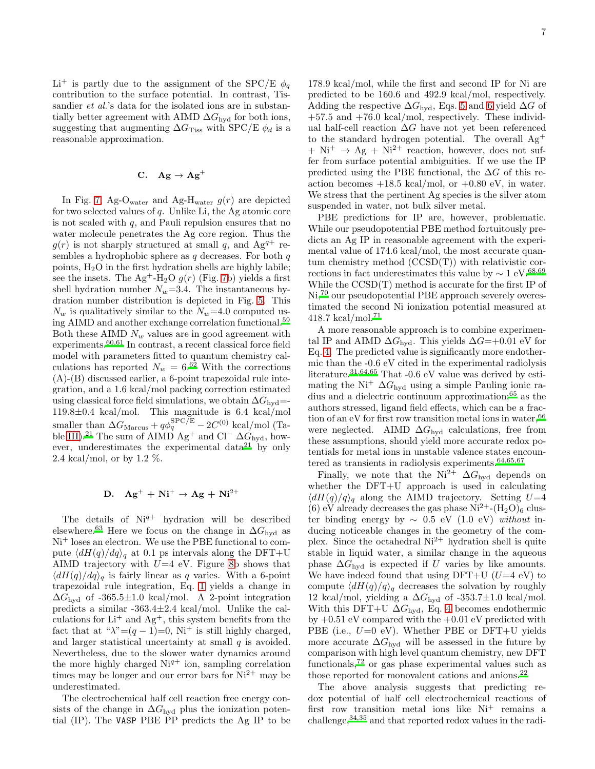$Li^+$  is partly due to the assignment of the SPC/E  $\phi_q$ contribution to the surface potential. In contrast, Tissandier *et al.*'s data for the isolated ions are in substantially better agreement with AIMD  $\Delta G_{\text{hvd}}$  for both ions, suggesting that augmenting  $\Delta G$ <sub>Tiss</sub> with SPC/E  $\phi_d$  is a reasonable approximation.

# C.  $Ag \rightarrow Ag^+$

In Fig. [7,](#page-16-1) Ag-O<sub>water</sub> and Ag-H<sub>water</sub>  $g(r)$  are depicted for two selected values of  $q$ . Unlike Li, the Ag atomic core is not scaled with  $q$ , and Pauli repulsion ensures that no water molecule penetrates the Ag core region. Thus the  $g(r)$  is not sharply structured at small q, and Ag<sup>q+</sup> resembles a hydrophobic sphere as  $q$  decreases. For both  $q$ points, H2O in the first hydration shells are highly labile; see the insets. The Ag<sup>+</sup>-H<sub>2</sub>O  $g(r)$  (Fig. [7b](#page-16-1)) yields a first shell hydration number  $N_w=3.4$ . The instantaneous hydration number distribution is depicted in Fig. [5.](#page-15-0) This  $N_w$  is qualitatively similar to the  $N_w=4.0$  computed using AIMD and another exchange correlation functional.[59](#page-9-16) Both these AIMD  $N_w$  values are in good agreement with experiments. $60,61$  $60,61$  In contrast, a recent classical force field model with parameters fitted to quantum chemistry calculations has reported  $N_w = 6^{.62}$  $N_w = 6^{.62}$  $N_w = 6^{.62}$  With the corrections (A)-(B) discussed earlier, a 6-point trapezoidal rule integration, and a 1.6 kcal/mol packing correction estimated using classical force field simulations, we obtain  $\Delta G_{\text{hyd}}=$ -119.8±0.4 kcal/mol. This magnitude is 6.4 kcal/mol smaller than  $\Delta G_{\text{Marcus}} + q\phi_q^{\text{SPC/E}} - 2C^{(0)}$  kcal/mol (Ta-ble [III\)](#page-11-1).<sup>[21](#page-8-14)</sup> The sum of AIMD Ag<sup>+</sup> and Cl<sup>−</sup>  $\Delta G_{\text{hyd}}$ , how-ever, underestimates the experimental data<sup>[21](#page-8-14)</sup> by only 2.4 kcal/mol, or by 1.2 %.

# D.  $Ag^+ + Ni^+ \rightarrow Ag + Ni^{2+}$

The details of  $Ni<sup>q+</sup>$  hydration will be described elsewhere.<sup>[63](#page-9-20)</sup> Here we focus on the change in  $\Delta G_{\text{hyd}}$  as Ni<sup>+</sup> loses an electron. We use the PBE functional to compute  $\langle dH(q)/dq\rangle_q$  at 0.1 ps intervals along the DFT+U AIMD trajectory with  $U=4$  eV. Figure [8b](#page-17-0) shows that  $\langle dH(q)/dq \rangle_q$  is fairly linear as q varies. With a 6-point trapezoidal rule integration, Eq. [1](#page-0-0) yields a change in  $\Delta G_{\text{hyd}}$  of -365.5±1.0 kcal/mol. A 2-point integration predicts a similar -363.4±2.4 kcal/mol. Unlike the calculations for  $Li^+$  and  $Ag^+$ , this system benefits from the fact that at " $\lambda$ "=(q - 1)=0, Ni<sup>+</sup> is still highly charged, and larger statistical uncertainty at small  $q$  is avoided. Nevertheless, due to the slower water dynamics around the more highly charged  $Ni<sup>q+</sup>$  ion, sampling correlation times may be longer and our error bars for  $Ni^{2+}$  may be underestimated.

The electrochemical half cell reaction free energy consists of the change in  $\Delta G_{\text{hvd}}$  plus the ionization potential (IP). The VASP PBE PP predicts the Ag IP to be

178.9 kcal/mol, while the first and second IP for Ni are predicted to be 160.6 and 492.9 kcal/mol, respectively. Adding the respective  $\Delta G_{\text{hyd}}$ , Eqs. [5](#page-1-2) and [6](#page-1-2) yield  $\Delta G$  of  $+57.5$  and  $+76.0$  kcal/mol, respectively. These individual half-cell reaction  $\Delta G$  have not yet been referenced to the standard hydrogen potential. The overall Ag<sup>+</sup>  $+ Ni^{+} \rightarrow Ag + Ni^{2+}$  reaction, however, does not suffer from surface potential ambiguities. If we use the IP predicted using the PBE functional, the  $\Delta G$  of this reaction becomes  $+18.5$  kcal/mol, or  $+0.80$  eV, in water. We stress that the pertinent Ag species is the silver atom suspended in water, not bulk silver metal.

PBE predictions for IP are, however, problematic. While our pseudopotential PBE method fortuitously predicts an Ag IP in reasonable agreement with the experimental value of 174.6 kcal/mol, the most accurate quantum chemistry method (CCSD(T)) with relativistic corrections in fact underestimates this value by  $\sim 1 \text{ eV}^{68,69}$  $\sim 1 \text{ eV}^{68,69}$  $\sim 1 \text{ eV}^{68,69}$  $\sim 1 \text{ eV}^{68,69}$ While the CCSD(T) method is accurate for the first IP of Ni,<sup>[70](#page-9-23)</sup> our pseudopotential PBE approach severely overestimated the second Ni ionization potential measured at  $418.7 \text{ kcal/mol}.^{71}$  $418.7 \text{ kcal/mol}.^{71}$  $418.7 \text{ kcal/mol}.^{71}$ 

A more reasonable approach is to combine experimental IP and AIMD  $\Delta G_{\text{hyd}}$ . This yields  $\Delta G=+0.01$  eV for Eq. [4.](#page-1-1) The predicted value is significantly more endothermic than the -0.6 eV cited in the experimental radiolysis literature.<sup>[31](#page-8-25)[,64](#page-9-25)[,65](#page-9-26)</sup> That -0.6 eV value was derived by estimating the Ni<sup>+</sup>  $\Delta G_{\text{hvd}}$  using a simple Pauling ionic radius and a dielectric continuum approximation;[65](#page-9-26) as the authors stressed, ligand field effects, which can be a fraction of an eV for first row transition metal ions in water,  $66$ were neglected. AIMD  $\Delta G_{\text{hyd}}$  calculations, free from these assumptions, should yield more accurate redox potentials for metal ions in unstable valence states encountered as transients in radiolysis experiments. $64,65,67$  $64,65,67$  $64,65,67$ 

Finally, we note that the Ni<sup>2+</sup>  $\Delta G_{\text{hyd}}$  depends on whether the DFT+U approach is used in calculating  $\langle dH(q)/q \rangle_q$  along the AIMD trajectory. Setting  $U=4$ (6) eV already decreases the gas phase  $Ni^{2+}-(H_2O)_6$  cluster binding energy by  $\sim 0.5$  eV (1.0 eV) without inducing noticeable changes in the geometry of the complex. Since the octahedral  $Ni^{2+}$  hydration shell is quite stable in liquid water, a similar change in the aqueous phase  $\Delta G_{\text{hyd}}$  is expected if U varies by like amounts. We have indeed found that using  $DFT+U$  ( $U=4$  eV) to compute  $\langle dH(q)/q\rangle_q$  decreases the solvation by roughly 12 kcal/mol, yielding a  $\Delta G_{\text{hyd}}$  of -353.7±1.0 kcal/mol. With this DFT+U  $\Delta G_{\text{hyd}}$ , Eq. [4](#page-1-1) becomes endothermic by  $+0.51$  eV compared with the  $+0.01$  eV predicted with PBE (i.e.,  $U=0$  eV). Whether PBE or DFT+U yields more accurate  $\Delta G_{\text{hvd}}$  will be assessed in the future by comparison with high level quantum chemistry, new DFT functionals,<sup>[72](#page-9-29)</sup> or gas phase experimental values such as those reported for monovalent cations and anions.[22](#page-8-15)

The above analysis suggests that predicting redox potential of half cell electrochemical reactions of first row transition metal ions like  $Ni<sup>+</sup>$  remains a challenge,  $34,35$  $34,35$  and that reported redox values in the radi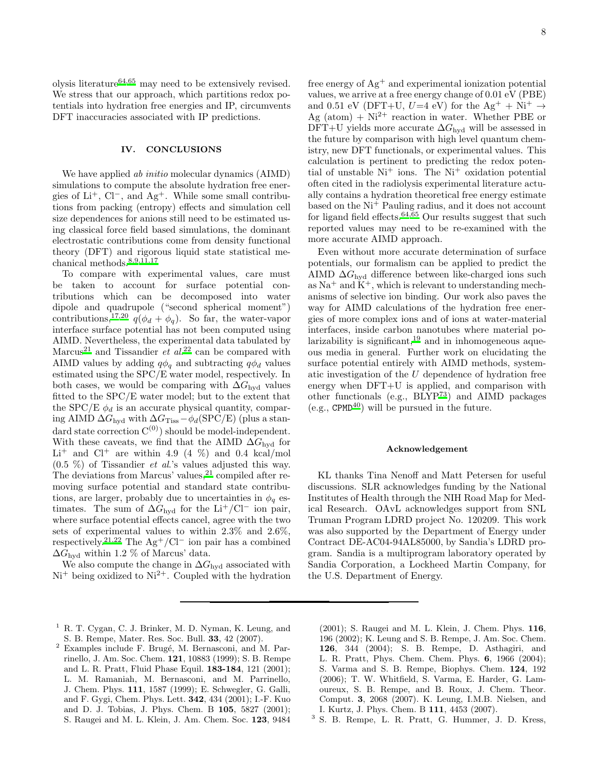olysis literature $64,65$  $64,65$  may need to be extensively revised. We stress that our approach, which partitions redox potentials into hydration free energies and IP, circumvents DFT inaccuracies associated with IP predictions.

## IV. CONCLUSIONS

We have applied *ab initio* molecular dynamics (AIMD) simulations to compute the absolute hydration free energies of  $Li^+$ ,  $Cl^-$ , and  $Ag^+$ . While some small contributions from packing (entropy) effects and simulation cell size dependences for anions still need to be estimated using classical force field based simulations, the dominant electrostatic contributions come from density functional theory (DFT) and rigorous liquid state statistical mechanical methods.[8](#page-8-3)[,9](#page-8-10)[,11](#page-8-4)[,17](#page-8-11)

To compare with experimental values, care must be taken to account for surface potential contributions which can be decomposed into water dipole and quadrupole ("second spherical moment") contributions,<sup>[17](#page-8-11)[,20](#page-8-13)</sup>  $q(\phi_d + \phi_q)$ . So far, the water-vapor interface surface potential has not been computed using AIMD. Nevertheless, the experimental data tabulated by Marcus<sup>[21](#page-8-14)</sup> and Tissandier *et al.*<sup>[22](#page-8-15)</sup> can be compared with AIMD values by adding  $q\phi_q$  and subtracting  $q\phi_d$  values estimated using the SPC/E water model, respectively. In both cases, we would be comparing with  $\Delta G_{\text{hvd}}$  values fitted to the SPC/E water model; but to the extent that the SPC/E  $\phi_d$  is an accurate physical quantity, comparing AIMD  $\Delta G_{\text{hyd}}$  with  $\Delta G_{\text{Tiss}} - \phi_d(\text{SPC/E})$  (plus a standard state correction  $C^{(0)}$ ) should be model-independent. With these caveats, we find that the AIMD  $\Delta G_{\text{hyd}}$  for  $Li<sup>+</sup>$  and  $Cl<sup>+</sup>$  are within 4.9 (4 %) and 0.4 kcal/mol (0.5 %) of Tissandier et al.'s values adjusted this way. The deviations from Marcus' values,  $21$  compiled after removing surface potential and standard state contributions, are larger, probably due to uncertainties in  $\phi_q$  estimates. The sum of  $\Delta G_{\text{hvd}}$  for the Li<sup>+</sup>/Cl<sup>−</sup> ion pair, where surface potential effects cancel, agree with the two sets of experimental values to within 2.3% and 2.6%, respectively.<sup>[21](#page-8-14)[,22](#page-8-15)</sup> The Ag<sup>+</sup>/Cl<sup>−</sup> ion pair has a combined  $\Delta G_{\text{hyd}}$  within 1.2 % of Marcus' data.

We also compute the change in  $\Delta G_{\text{hyd}}$  associated with  $Ni<sup>+</sup>$  being oxidized to  $Ni<sup>2+</sup>$ . Coupled with the hydration

free energy of  $\text{Ag}^+$  and experimental ionization potential values, we arrive at a free energy change of 0.01 eV (PBE) and 0.51 eV (DFT+U,  $U=4$  eV) for the Ag<sup>+</sup> + Ni<sup>+</sup>  $\rightarrow$ Ag (atom) +  $Ni^{2+}$  reaction in water. Whether PBE or DFT+U yields more accurate  $\Delta G_{\text{hyd}}$  will be assessed in the future by comparison with high level quantum chemistry, new DFT functionals, or experimental values. This calculation is pertinent to predicting the redox potential of unstable  $Ni<sup>+</sup>$  ions. The  $Ni<sup>+</sup>$  oxidation potential often cited in the radiolysis experimental literature actually contains a hydration theoretical free energy estimate based on the Ni<sup>+</sup> Pauling radius, and it does not account for ligand field effects.<sup>[64](#page-9-25), $\overline{65}$ </sup> Our results suggest that such reported values may need to be re-examined with the more accurate AIMD approach.

Even without more accurate determination of surface potentials, our formalism can be applied to predict the AIMD  $\Delta G_{\text{hvd}}$  difference between like-charged ions such as  $Na<sup>+</sup>$  and  $K<sup>+</sup>$ , which is relevant to understanding mechanisms of selective ion binding. Our work also paves the way for AIMD calculations of the hydration free energies of more complex ions and of ions at water-material interfaces, inside carbon nanotubes where material polarizability is significant, $19$  and in inhomogeneous aqueous media in general. Further work on elucidating the surface potential entirely with AIMD methods, systematic investigation of the U dependence of hydration free energy when DFT+U is applied, and comparison with other functionals (e.g.,  $\overrightarrow{BLYP^{73}}$  $\overrightarrow{BLYP^{73}}$  $\overrightarrow{BLYP^{73}}$ ) and AIMD packages  $(e.g., \text{CPMD}^{40})$  $(e.g., \text{CPMD}^{40})$  $(e.g., \text{CPMD}^{40})$  will be pursued in the future.

#### Acknowledgement

KL thanks Tina Nenoff and Matt Petersen for useful discussions. SLR acknowledges funding by the National Institutes of Health through the NIH Road Map for Medical Research. OAvL acknowledges support from SNL Truman Program LDRD project No. 120209. This work was also supported by the Department of Energy under Contract DE-AC04-94AL85000, by Sandia's LDRD program. Sandia is a multiprogram laboratory operated by Sandia Corporation, a Lockheed Martin Company, for the U.S. Department of Energy.

(2001); S. Raugei and M. L. Klein, J. Chem. Phys. 116, 196 (2002); K. Leung and S. B. Rempe, J. Am. Soc. Chem. 126, 344 (2004); S. B. Rempe, D. Asthagiri, and L. R. Pratt, Phys. Chem. Chem. Phys. 6, 1966 (2004); S. Varma and S. B. Rempe, Biophys. Chem. 124, 192 (2006); T. W. Whitfield, S. Varma, E. Harder, G. Lamoureux, S. B. Rempe, and B. Roux, J. Chem. Theor. Comput. 3, 2068 (2007). K. Leung, I.M.B. Nielsen, and I. Kurtz, J. Phys. Chem. B 111, 4453 (2007).

<span id="page-7-2"></span>3 S. B. Rempe, L. R. Pratt, G. Hummer, J. D. Kress,

<span id="page-7-0"></span><sup>&</sup>lt;sup>1</sup> R. T. Cygan, C. J. Brinker, M. D. Nyman, K. Leung, and S. B. Rempe, Mater. Res. Soc. Bull. 33, 42 (2007).

<span id="page-7-1"></span> $2$  Examples include F. Brugé, M. Bernasconi, and M. Parrinello, J. Am. Soc. Chem. 121, 10883 (1999); S. B. Rempe and L. R. Pratt, Fluid Phase Equil. 183-184, 121 (2001); L. M. Ramaniah, M. Bernasconi, and M. Parrinello, J. Chem. Phys. 111, 1587 (1999); E. Schwegler, G. Galli, and F. Gygi, Chem. Phys. Lett. 342, 434 (2001); I.-F. Kuo and D. J. Tobias, J. Phys. Chem. B 105, 5827 (2001); S. Raugei and M. L. Klein, J. Am. Chem. Soc. 123, 9484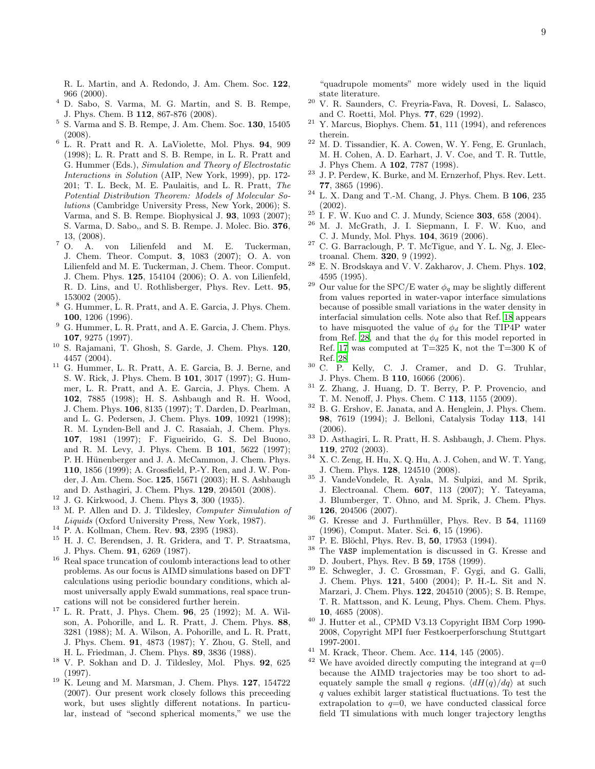R. L. Martin, and A. Redondo, J. Am. Chem. Soc. 122, 966 (2000).

- <span id="page-8-37"></span><sup>4</sup> D. Sabo, S. Varma, M. G. Martin, and S. B. Rempe, J. Phys. Chem. B 112, 867-876 (2008).
- <span id="page-8-0"></span>5 S. Varma and S. B. Rempe, J. Am. Chem. Soc. 130, 15405 (2008).
- <span id="page-8-1"></span><sup>6</sup> L. R. Pratt and R. A. LaViolette, Mol. Phys. 94, 909 (1998); L. R. Pratt and S. B. Rempe, in L. R. Pratt and G. Hummer (Eds.), *Simulation and Theory of Electrostatic Interactions in Solution* (AIP, New York, 1999), pp. 172- 201; T. L. Beck, M. E. Paulaitis, and L. R. Pratt, *The Potential Distribution Theorem: Models of Molecular Solutions* (Cambridge University Press, New York, 2006); S. Varma, and S. B. Rempe. Biophysical J. 93, 1093 (2007); S. Varma, D. Sabo,, and S. B. Rempe. J. Molec. Bio. 376,
- <span id="page-8-2"></span> $\begin{array}{c} 13, (2008). \\ 7 \quad \text{O.} \quad \text{A.} \end{array}$ A. von Lilienfeld and M. E. Tuckerman, J. Chem. Theor. Comput. 3, 1083 (2007); O. A. von Lilienfeld and M. E. Tuckerman, J. Chem. Theor. Comput. J. Chem. Phys. 125, 154104 (2006); O. A. von Lilienfeld, R. D. Lins, and U. Rothlisberger, Phys. Rev. Lett. 95, 153002 (2005).
- <span id="page-8-3"></span><sup>8</sup> G. Hummer, L. R. Pratt, and A. E. Garcia, J. Phys. Chem. 100, 1206 (1996).
- <span id="page-8-10"></span><sup>9</sup> G. Hummer, L. R. Pratt, and A. E. Garcia, J. Chem. Phys. 107, 9275 (1997).
- <span id="page-8-20"></span><sup>10</sup> S. Rajamani, T. Ghosh, S. Garde, J. Chem. Phys. 120, 4457 (2004).
- <span id="page-8-4"></span><sup>11</sup> G. Hummer, L. R. Pratt, A. E. Garcia, B. J. Berne, and S. W. Rick, J. Phys. Chem. B 101, 3017 (1997); G. Hummer, L. R. Pratt, and A. E. Garcia, J. Phys. Chem. A 102, 7885 (1998); H. S. Ashbaugh and R. H. Wood, J. Chem. Phys. 106, 8135 (1997); T. Darden, D. Pearlman, and L. G. Pedersen, J. Chem. Phys. 109, 10921 (1998); R. M. Lynden-Bell and J. C. Rasaiah, J. Chem. Phys. 107, 1981 (1997); F. Figueirido, G. S. Del Buono, and R. M. Levy, J. Phys. Chem. B 101, 5622 (1997); P. H. Hünenberger and J. A. McCammon, J. Chem. Phys. 110, 1856 (1999); A. Grossfield, P.-Y. Ren, and J. W. Ponder, J. Am. Chem. Soc. 125, 15671 (2003); H. S. Ashbaugh and D. Asthagiri, J. Chem. Phys. 129, 204501 (2008).
- <span id="page-8-5"></span><sup>12</sup> J. G. Kirkwood, J. Chem. Phys 3, 300 (1935).
- <span id="page-8-6"></span><sup>13</sup> M. P. Allen and D. J. Tildesley, *Computer Simulation of Liquids* (Oxford University Press, New York, 1987).
- <span id="page-8-7"></span><sup>14</sup> P. A. Kollman, Chem. Rev. 93, 2395 (1983).
- <span id="page-8-8"></span><sup>15</sup> H. J. C. Berendsen, J. R. Gridera, and T. P. Straatsma, J. Phys. Chem. 91, 6269 (1987).
- <span id="page-8-9"></span><sup>16</sup> Real space truncation of coulomb interactions lead to other problems. As our focus is AIMD simulations based on DFT calculations using periodic boundary conditions, which almost universally apply Ewald summations, real space truncations will not be considered further herein.
- <span id="page-8-11"></span><sup>17</sup> L. R. Pratt, J. Phys. Chem. 96, 25 (1992); M. A. Wilson, A. Pohorille, and L. R. Pratt, J. Chem. Phys. 88, 3281 (1988); M. A. Wilson, A. Pohorille, and L. R. Pratt, J. Phys. Chem. 91, 4873 (1987); Y. Zhou, G. Stell, and H. L. Friedman, J. Chem. Phys. 89, 3836 (1988).
- <span id="page-8-21"></span><sup>18</sup> V. P. Sokhan and D. J. Tildesley, Mol. Phys. 92, 625 (1997).
- <span id="page-8-12"></span><sup>19</sup> K. Leung and M. Marsman, J. Chem. Phys. 127, 154722 (2007). Our present work closely follows this preceeding work, but uses slightly different notations. In particular, instead of "second spherical moments," we use the

"quadrupole moments" more widely used in the liquid state literature.

- <span id="page-8-13"></span><sup>20</sup> V. R. Saunders, C. Freyria-Fava, R. Dovesi, L. Salasco, and C. Roetti, Mol. Phys. 77, 629 (1992).
- <span id="page-8-14"></span><sup>21</sup> Y. Marcus, Biophys. Chem.  $\overline{51}$ , 111 (1994), and references therein.
- <span id="page-8-15"></span><sup>22</sup> M. D. Tissandier, K. A. Cowen, W. Y. Feng, E. Grunlach, M. H. Cohen, A. D. Earhart, J. V. Coe, and T. R. Tuttle, J. Phys Chem. A 102, 7787 (1998).
- <span id="page-8-16"></span><sup>23</sup> J. P. Perdew, K. Burke, and M. Ernzerhof, Phys. Rev. Lett. 77, 3865 (1996).
- <span id="page-8-17"></span><sup>24</sup> L. X. Dang and T.-M. Chang, J. Phys. Chem. B 106, 235 (2002).
- <span id="page-8-18"></span> $25$  I. F. W. Kuo and C. J. Mundy, Science 303, 658 (2004).
- <span id="page-8-19"></span><sup>26</sup> M. J. McGrath, J. I. Siepmann, I. F. W. Kuo, and C. J. Mundy, Mol. Phys. 104, 3619 (2006).
- <span id="page-8-22"></span> $27$  C. G. Barraclough, P. T. McTigue, and Y. L. Ng, J. Electroanal. Chem. 320, 9 (1992).
- <span id="page-8-38"></span> $28$  E. N. Brodskaya and V. V. Zakharov, J. Chem. Phys. 102, 4595 (1995).
- <span id="page-8-23"></span><sup>29</sup> Our value for the SPC/E water  $\phi_q$  may be slightly different from values reported in water-vapor interface simulations because of possible small variations in the water density in interfacial simulation cells. Note also that Ref. [18](#page-8-21) appears to have misquoted the value of  $\phi_d$  for the TIP4P water from Ref. [28](#page-8-38), and that the  $\phi_d$  for this model reported in Ref. [17](#page-8-11) was computed at  $T=325$  K, not the  $T=300$  K of Ref. [28](#page-8-38)
- <span id="page-8-24"></span><sup>30</sup> C. P. Kelly, C. J. Cramer, and D. G. Truhlar, J. Phys. Chem. B 110, 16066 (2006).
- <span id="page-8-25"></span><sup>31</sup> Z. Zhang, J. Huang, D. T. Berry, P. P. Provencio, and T. M. Nenoff, J. Phys. Chem. C 113, 1155 (2009).
- <span id="page-8-26"></span><sup>32</sup> B. G. Ershov, E. Janata, and A. Henglein, J. Phys. Chem. 98, 7619 (1994); J. Belloni, Catalysis Today 113, 141 (2006).
- <span id="page-8-27"></span><sup>33</sup> D. Asthagiri, L. R. Pratt, H. S. Ashbaugh, J. Chem. Phys. 119, 2702 (2003).
- <span id="page-8-28"></span><sup>34</sup> X. C. Zeng, H. Hu, X. Q. Hu, A. J. Cohen, and W. T. Yang, J. Chem. Phys. 128, 124510 (2008).
- <span id="page-8-29"></span><sup>35</sup> J. VandeVondele, R. Ayala, M. Sulpizi, and M. Sprik, J. Electroanal. Chem. 607, 113 (2007); Y. Tateyama, J. Blumberger, T. Ohno, and M. Sprik, J. Chem. Phys. 126, 204506 (2007).
- <span id="page-8-30"></span> $36$  G. Kresse and J. Furthmüller, Phys. Rev. B 54, 11169 (1996), Comput. Mater. Sci. 6, 15 (1996).
- <span id="page-8-31"></span><sup>37</sup> P. E. Blöchl, Phys. Rev. B, **50**, 17953 (1994).
- <span id="page-8-32"></span><sup>38</sup> The VASP implementation is discussed in G. Kresse and D. Joubert, Phys. Rev. B 59, 1758 (1999).
- <span id="page-8-33"></span><sup>39</sup> E. Schwegler, J. C. Grossman, F. Gygi, and G. Galli, J. Chem. Phys. 121, 5400 (2004); P. H.-L. Sit and N. Marzari, J. Chem. Phys. 122, 204510 (2005); S. B. Rempe, T. R. Mattsson, and K. Leung, Phys. Chem. Chem. Phys. 10, 4685 (2008).
- <span id="page-8-34"></span><sup>40</sup> J. Hutter et al., CPMD V3.13 Copyright IBM Corp 1990- 2008, Copyright MPI fuer Festkoerperforschung Stuttgart 1997-2001.
- <span id="page-8-35"></span><sup>41</sup> M. Krack, Theor. Chem. Acc. **114**, 145 (2005).
- <span id="page-8-36"></span>We have avoided directly computing the integrand at  $q=0$ because the AIMD trajectories may be too short to adequately sample the small q regions.  $\langle dH(q)/dq \rangle$  at such q values exhibit larger statistical fluctuations. To test the extrapolation to  $q=0$ , we have conducted classical force field TI simulations with much longer trajectory lengths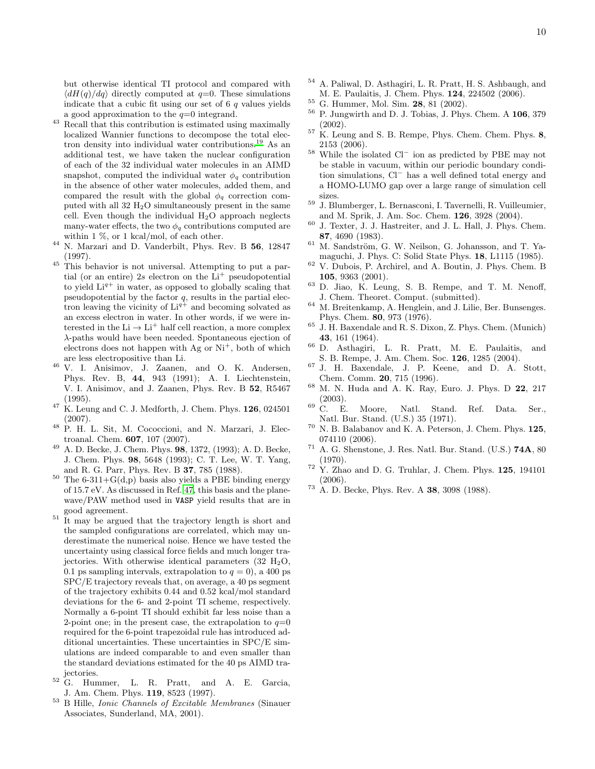but otherwise identical TI protocol and compared with  $\langle dH(q)/dq \rangle$  directly computed at  $q=0$ . These simulations indicate that a cubic fit using our set of  $6q$  values yields a good approximation to the  $q=0$  integrand.

- <span id="page-9-0"></span><sup>43</sup> Recall that this contribution is estimated using maximally localized Wannier functions to decompose the total electron density into individual water contributions.[19](#page-8-12) As an additional test, we have taken the nuclear configuration of each of the 32 individual water molecules in an AIMD snapshot, computed the individual water  $\phi_q$  contribution in the absence of other water molecules, added them, and compared the result with the global  $\phi_q$  correction computed with all  $32 \text{ H}_2\text{O}$  simultaneously present in the same cell. Even though the individual  $H_2O$  approach neglects many-water effects, the two  $\phi_q$  contributions computed are within 1 %, or 1 kcal/mol, of each other.
- <span id="page-9-1"></span><sup>44</sup> N. Marzari and D. Vanderbilt, Phys. Rev. B 56, 12847 (1997).
- <span id="page-9-2"></span><sup>45</sup> This behavior is not universal. Attempting to put a partial (or an entire) 2s electron on the  $Li<sup>+</sup>$  pseudopotential to yield  $Li^{q+}$  in water, as opposed to globally scaling that pseudopotential by the factor  $q$ , results in the partial electron leaving the vicinity of  $Li^{q+}$  and becoming solvated as an excess electron in water. In other words, if we were interested in the  $\text{Li} \rightarrow \text{Li}^+$  half cell reaction, a more complex λ-paths would have been needed. Spontaneous ejection of electrons does not happen with  $Ag$  or  $Ni<sup>+</sup>$ , both of which are less electropositive than Li.
- <span id="page-9-3"></span><sup>46</sup> V. I. Anisimov, J. Zaanen, and O. K. Andersen, Phys. Rev. B, 44, 943 (1991); A. I. Liechtenstein, V. I. Anisimov, and J. Zaanen, Phys. Rev. B 52, R5467 (1995).
- <span id="page-9-4"></span> $47$  K. Leung and C. J. Medforth, J. Chem. Phys. **126**, 024501 (2007).
- <span id="page-9-5"></span><sup>48</sup> P. H. L. Sit, M. Cococcioni, and N. Marzari, J. Electroanal. Chem. 607, 107 (2007).
- <span id="page-9-6"></span><sup>49</sup> A. D. Becke, J. Chem. Phys. 98, 1372, (1993); A. D. Becke, J. Chem. Phys. 98, 5648 (1993); C. T. Lee, W. T. Yang, and R. G. Parr, Phys. Rev. B 37, 785 (1988).
- <span id="page-9-7"></span><sup>50</sup> The 6-311+G(d,p) basis also yields a PBE binding energy of 15.7 eV. As discussed in Ref. [47,](#page-9-4) this basis and the planewave/PAW method used in VASP yield results that are in good agreement.
- <span id="page-9-8"></span> $11$ <sup>51</sup> It may be argued that the trajectory length is short and the sampled configurations are correlated, which may underestimate the numerical noise. Hence we have tested the uncertainty using classical force fields and much longer trajectories. With otherwise identical parameters  $(32 \text{ H}_2\text{O},$ 0.1 ps sampling intervals, extrapolation to  $q = 0$ , a 400 ps SPC/E trajectory reveals that, on average, a 40 ps segment of the trajectory exhibits 0.44 and 0.52 kcal/mol standard deviations for the 6- and 2-point TI scheme, respectively. Normally a 6-point TI should exhibit far less noise than a 2-point one; in the present case, the extrapolation to  $q=0$ required for the 6-point trapezoidal rule has introduced additional uncertainties. These uncertainties in SPC/E simulations are indeed comparable to and even smaller than the standard deviations estimated for the 40 ps AIMD trajectories.
- <span id="page-9-9"></span><sup>52</sup> G. Hummer, L. R. Pratt, and A. E. Garcia, J. Am. Chem. Phys. 119, 8523 (1997).
- <span id="page-9-12"></span><sup>53</sup> B Hille, *Ionic Channels of Excitable Membranes* (Sinauer Associates, Sunderland, MA, 2001).
- <span id="page-9-10"></span><sup>54</sup> A. Paliwal, D. Asthagiri, L. R. Pratt, H. S. Ashbaugh, and M. E. Paulaitis, J. Chem. Phys. 124, 224502 (2006).
- <span id="page-9-11"></span> $^{55}$  G. Hummer, Mol. Sim. **28**, 81 (2002).
- <span id="page-9-13"></span><sup>56</sup> P. Jungwirth and D. J. Tobias, J. Phys. Chem. A 106, 379 (2002).
- <span id="page-9-14"></span> $57$  K. Leung and S. B. Rempe, Phys. Chem. Chem. Phys. 8, 2153 (2006).
- <span id="page-9-15"></span><sup>58</sup> While the isolated Cl<sup>−</sup> ion as predicted by PBE may not be stable in vacuum, within our periodic boundary condition simulations, Cl<sup>−</sup> has a well defined total energy and a HOMO-LUMO gap over a large range of simulation cell sizes.
- <span id="page-9-16"></span><sup>59</sup> J. Blumberger, L. Bernasconi, I. Tavernelli, R. Vuilleumier, and M. Sprik, J. Am. Soc. Chem. 126, 3928 (2004).
- <span id="page-9-17"></span> $60$  J. Texter, J. J. Hastreiter, and J. L. Hall, J. Phys. Chem. 87, 4690 (1983).
- <span id="page-9-18"></span> $61$  M. Sandström, G. W. Neilson, G. Johansson, and T. Yamaguchi, J. Phys. C: Solid State Phys. 18, L1115 (1985).
- <span id="page-9-19"></span><sup>62</sup> V. Dubois, P. Archirel, and A. Boutin, J. Phys. Chem. B 105, 9363 (2001).
- <span id="page-9-20"></span> $63$  D. Jiao, K. Leung, S. B. Rempe, and T. M. Nenoff, J. Chem. Theoret. Comput. (submitted).
- <span id="page-9-25"></span> $^{64}\,$  M. Breitenkamp, A. Henglein, and J. Lilie, Ber. Bunsenges. Phys. Chem. 80, 973 (1976).
- <span id="page-9-26"></span><sup>65</sup> J. H. Baxendale and R. S. Dixon, Z. Phys. Chem. (Munich) 43, 161 (1964).
- <span id="page-9-27"></span><sup>66</sup> D. Asthagiri, L. R. Pratt, M. E. Paulaitis, and S. B. Rempe, J. Am. Chem. Soc. 126, 1285 (2004).
- <span id="page-9-28"></span><sup>67</sup> J. H. Baxendale, J. P. Keene, and D. A. Stott, Chem. Comm. 20, 715 (1996).
- <span id="page-9-21"></span><sup>68</sup> M. N. Huda and A. K. Ray, Euro. J. Phys. D 22, 217  $(2003).$ <br>C. E.
- <span id="page-9-22"></span> $69\,$  C. E. Moore, Natl. Stand. Ref. Data. Ser., Natl. Bur. Stand. (U.S.) 35 (1971).
- <span id="page-9-23"></span> $70$  N. B. Balabanov and K. A. Peterson, J. Chem. Phys. 125, 074110 (2006).
- <span id="page-9-24"></span><sup>71</sup> A. G. Shenstone, J. Res. Natl. Bur. Stand. (U.S.) 74A, 80 (1970).
- <span id="page-9-29"></span> $72$  Y. Zhao and D. G. Truhlar, J. Chem. Phys. 125, 194101 (2006).
- <span id="page-9-30"></span><sup>73</sup> A. D. Becke, Phys. Rev. A 38, 3098 (1988).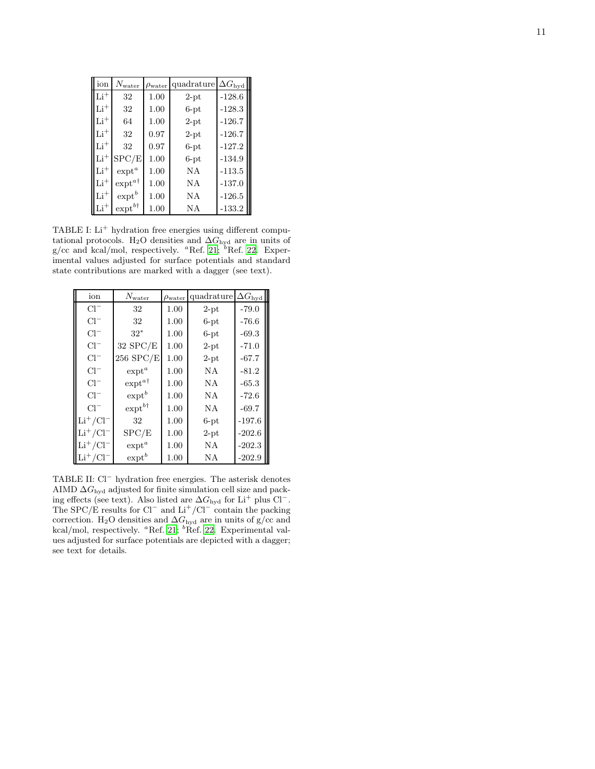| ion        | $N_{\rm water}$     | $\rho_{\text{water}}$ | quadrature | $\Delta G_{\rm hyd}$ |
|------------|---------------------|-----------------------|------------|----------------------|
| $Li+$      | 32                  | 1.00                  | $2$ -pt    | $-128.6$             |
| $Li+$      | 32                  | 1.00                  | $6-pt$     | $-128.3$             |
| $\rm Li^+$ | 64                  | 1.00                  | $2$ -pt    | $-126.7$             |
| $Li+$      | 32                  | 0.97                  | $2$ -pt    | $-126.7$             |
| $Li+$      | 32                  | 0.97                  | $6-pt$     | $-127.2$             |
| $\rm Li^+$ | SPC/E               | 1.00                  | $6-pt$     | $-134.9$             |
| $Li+$      | $\exp t^a$          | 1.00                  | NA         | $-113.5$             |
| $\rm Li^+$ | $\exp t^{a\dagger}$ | 1.00                  | NA         | $-137.0$             |
| $\rm Li^+$ | $\mbox{expt}^b$     | 1.00                  | NA         | $-126.5$             |
| $\rm Li^+$ | $\exp t^{b\dagger}$ | 1.00                  | NA         | $-133.2$             |

<span id="page-10-0"></span>TABLE I: Li<sup>+</sup> hydration free energies using different computational protocols. H<sub>2</sub>O densities and  $\Delta G_{\text{hyd}}$  are in units of  $g/cc$  and kcal/mol, respectively. "Ref. [21;](#page-8-14) "Ref. [22](#page-8-15). Experimental values adjusted for surface potentials and standard state contributions are marked with a dagger (see text).

| ion             | $N_{\rm water}$     | $\rho_{\text{water}}$ | quadrature | $\Delta G_{\rm hyd}$ |
|-----------------|---------------------|-----------------------|------------|----------------------|
| $Cl^-$          | 32                  | 1.00                  | $2$ -pt    | $-79.0$              |
| $Cl^-$          | 32                  | 1.00                  | $6-pt$     | $-76.6$              |
| $Cl^-$          | $32*$               | 1.00                  | $6-pt$     | $-69.3$              |
| $Cl^-$          | $32$ SPC/E          | 1.00                  | $2$ -pt    | $-71.0$              |
| $Cl^-$          | 256 SPC/E           | 1.00                  | $2$ -pt    | $-67.7$              |
| $Cl^-$          | $ext{ext}^a$        | 1.00                  | NA         | $-81.2$              |
| $Cl^-$          | $\exp t^{a\dagger}$ | 1.00                  | <b>NA</b>  | $-65.3$              |
| $Cl^-$          | $exp t^b$           | 1.00                  | N A        | $-72.6$              |
| $Cl^-$          | $\exp t^{b\dagger}$ | 1.00                  | <b>NA</b>  | $-69.7$              |
| $Li^{+}/Cl^{-}$ | 32                  | 1.00                  | $6-pt$     | $-197.6$             |
| $Li^{+}/Cl^{-}$ | SPC/E               | 1.00                  | $2$ -pt    | $-202.6$             |
| $Li^{+}/Cl^{-}$ | $ext{ext}^a$        | 1.00                  | NA         | $-202.3$             |
| $Li^{+}/Cl^{-}$ | $exp t^b$           | 1.00                  | NA         | $-202.9$             |

<span id="page-10-1"></span>TABLE II: Cl<sup>-</sup> hydration free energies. The asterisk denotes AIMD  $\Delta G_{\text{hyd}}$  adjusted for finite simulation cell size and packing effects (see text). Also listed are  $\Delta G_{\text{hyd}}$  for Li<sup>+</sup> plus Cl<sup>−</sup>. The SPC/E results for  $Cl^-$  and  $Li^+/Cl^-$  contain the packing correction. H<sub>2</sub>O densities and  $\Delta G_{\text{hyd}}$  are in units of g/cc and kcal/mol, respectively. <sup>a</sup>Ref. [21;](#page-8-14) <sup>b</sup>Ref. [22](#page-8-15). Experimental values adjusted for surface potentials are depicted with a dagger; see text for details.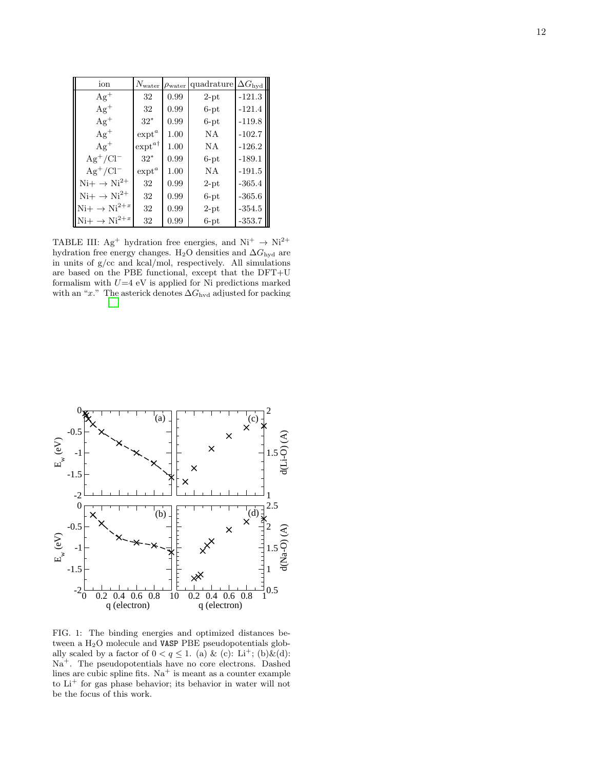| ion                        | $N_{\rm water}$     | $\rho_{\text{water}}$ | quadrature $\Delta G_{\text{hyd}}$ |          |
|----------------------------|---------------------|-----------------------|------------------------------------|----------|
| $Ag^+$                     | 32                  | 0.99                  | $2$ -pt                            | $-121.3$ |
| $Ag^+$                     | 32                  | 0.99                  | $6-pt$                             | $-121.4$ |
| $Ag^+$                     | $32*$               | 0.99                  | $6-pt$                             | $-119.8$ |
| $Ag^+$                     | $\mbox{expt}^a$     | 1.00                  | NA                                 | $-102.7$ |
| $Ag^+$                     | $\exp t^{a\dagger}$ | 1.00                  | NA                                 | $-126.2$ |
| $Ag^+/Cl^-$                | $32*$               | 0.99                  | $6-pt$                             | $-189.1$ |
| $Ag^+/Cl^-$                | $\mbox{expt}^a$     | 1.00                  | NΑ                                 | $-191.5$ |
| $Ni+ \rightarrow Ni^{2+}$  | 32                  | 0.99                  | $2$ -pt                            | $-365.4$ |
| $Ni+ \rightarrow Ni^{2+}$  | 32                  | 0.99                  | $6-pt$                             | $-365.6$ |
| $Ni+ \rightarrow Ni^{2+x}$ | 32                  | 0.99                  | $2$ -pt                            | $-354.5$ |
| $Ni+ \rightarrow Ni^{2+x}$ | 32                  | 0.99                  | $6-pt$                             | $-353.7$ |

<span id="page-11-1"></span>TABLE III:  $Ag^+$  hydration free energies, and  $Ni^+ \rightarrow Ni^{2+}$ hydration free energy changes. H<sub>2</sub>O densities and  $\Delta G_{\text{hyd}}$  are in units of g/cc and kcal/mol, respectively. All simulation s are based on the PBE functional, except that the DFT+U formalism with  $U=4$  eV is applied for Ni predictions marked with an "x". The asterick denotes  $\Delta G_{\text{bvd}}$  adjusted for packing



<span id="page-11-0"></span>FIG. 1: The binding energies and optimized distances between a H2O molecule and VASP PBE pseudopotentials globally scaled by a factor of  $0 < q \leq 1.$  (a) & (c): Li<sup>+</sup>; (b)&(d): Na<sup>+</sup>. The pseudopotentials have no core electrons. Dashed lines are cubic spline fits.  $Na<sup>+</sup>$  is meant as a counter example to Li <sup>+</sup> for gas phase behavior; its behavior in water will not be the focus of this work.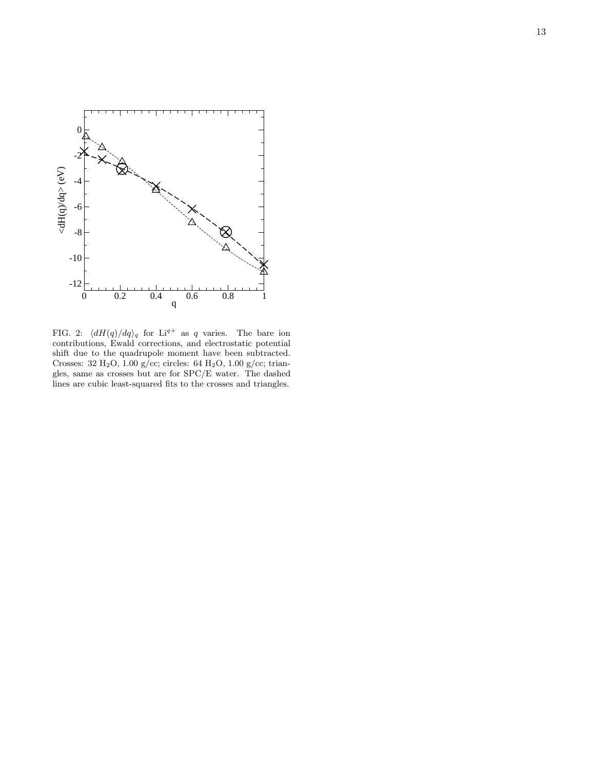

<span id="page-12-0"></span>FIG. 2:  $\langle dH(q)/dq \rangle_q$  for Li<sup>q+</sup> as q varies. The bare ion contributions, Ewald corrections, and electrostatic potential shift due to the quadrupole moment have been subtracted. Crosses: 32 H<sub>2</sub>O, 1.00 g/cc; circles: 64 H<sub>2</sub>O, 1.00 g/cc; triangles, same as crosses but are for SPC/E water. The dashed lines are cubic least-squared fits to the crosses and triangles.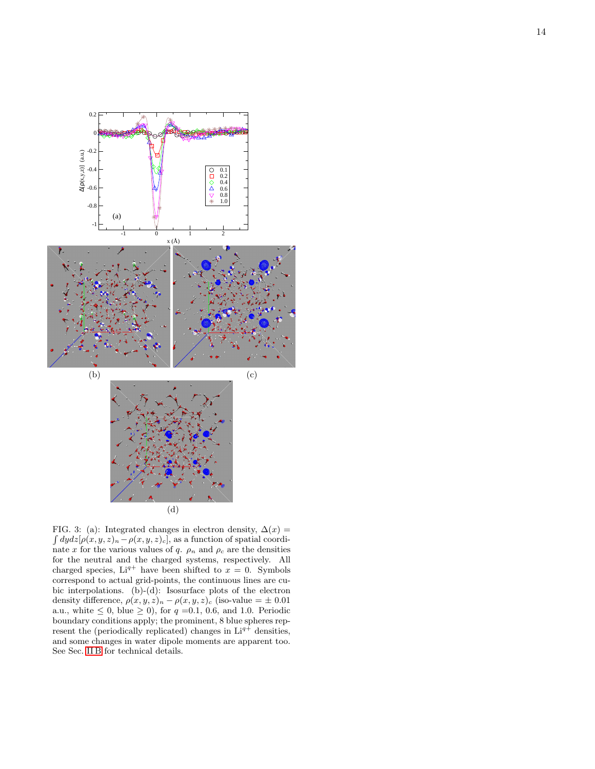

<span id="page-13-0"></span>FIG. 3: (a): Integrated changes in electron density,  $\Delta(x)$  =  $\int dydz[\rho(x,y,z)_n-\rho(x,y,z)_c]$ , as a function of spatial coordinate x for the various values of q.  $\rho_n$  and  $\rho_c$  are the densities for the neutral and the charged systems, respectively. All charged species,  $Li^{q+}$  have been shifted to  $x = 0$ . Symbols correspond to actual grid-points, the continuous lines are cubic interpolations. (b)-(d): Isosurface plots of the electron density difference,  $\rho(x, y, z)_n - \rho(x, y, z)_c$  (iso-value =  $\pm$  0.01) a.u., white  $\leq 0$ , blue  $\geq 0$ ), for  $q = 0.1, 0.6$ , and 1.0. Periodic boundary conditions apply; the prominent, 8 blue spheres represent the (periodically replicated) changes in  $Li^{q+}$  densities, and some changes in water dipole moments are apparent too. See Sec. [II B](#page-2-0) for technical details.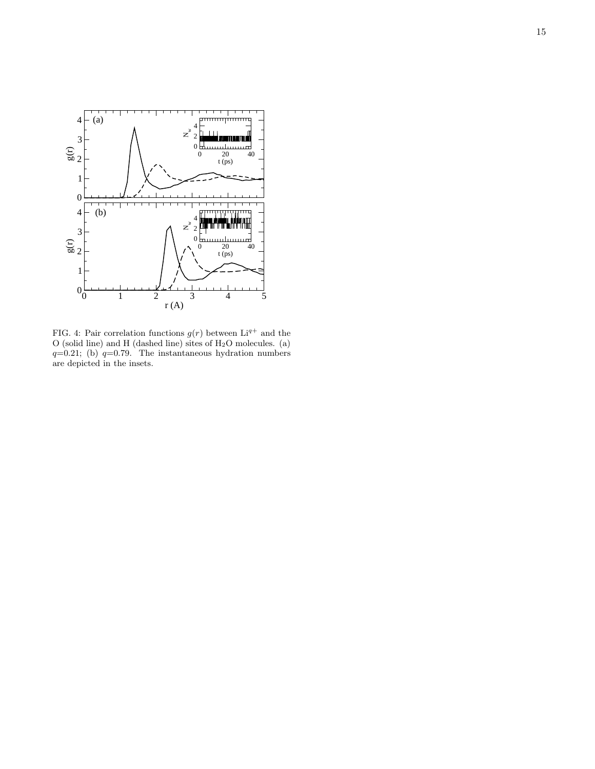

<span id="page-14-0"></span>FIG. 4: Pair correlation functions  $g(r)$  between  $Li^{q+}$  and the O (solid line) and H (dashed line) sites of  $H_2O$  molecules. (a)  $q=0.21$ ; (b)  $q=0.79$ . The instantaneous hydration numbers are depicted in the insets.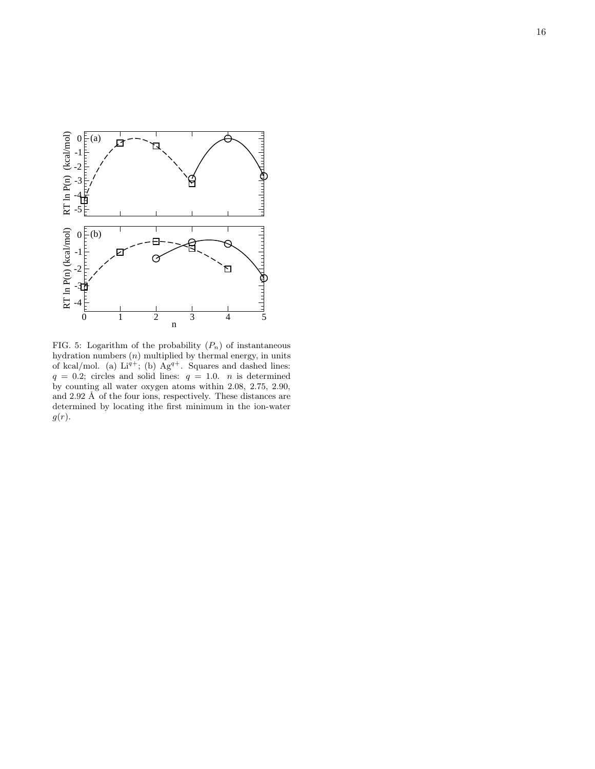

<span id="page-15-0"></span>FIG. 5: Logarithm of the probability  $(P_n)$  of instantaneous hydration numbers  $(n)$  multiplied by thermal energy, in units of kcal/mol. (a)  $Li^{q+}$ ; (b)  $Ag^{q+}$ . Squares and dashed lines:  $q = 0.2$ ; circles and solid lines:  $q = 1.0$ . *n* is determined by counting all water oxygen atoms within 2.08, 2.75, 2.90, and  $2.92 \text{ Å}$  of the four ions, respectively. These distances are determined by locating ithe first minimum in the ion-water  $g(r)$ .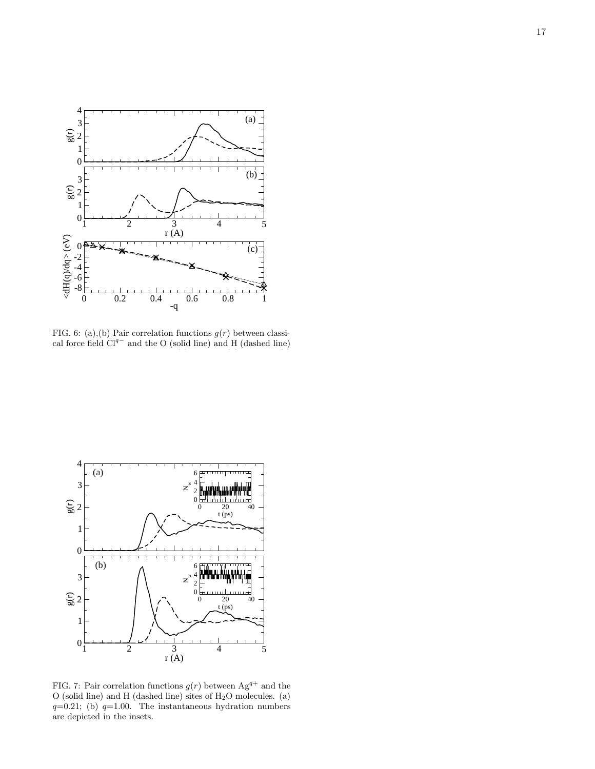

<span id="page-16-0"></span>FIG. 6: (a),(b) Pair correlation functions  $g(r)$  between classical force field  $Cl^{q-}$  and the O (solid line) and H (dashed line)



<span id="page-16-1"></span>FIG. 7: Pair correlation functions  $g(r)$  between  $Ag^{q+}$  and the  $O$  (solid line) and H (dashed line) sites of  $H<sub>2</sub>O$  molecules. (a)  $q=0.21$ ; (b)  $q=1.00$ . The instantaneous hydration numbers are depicted in the insets.